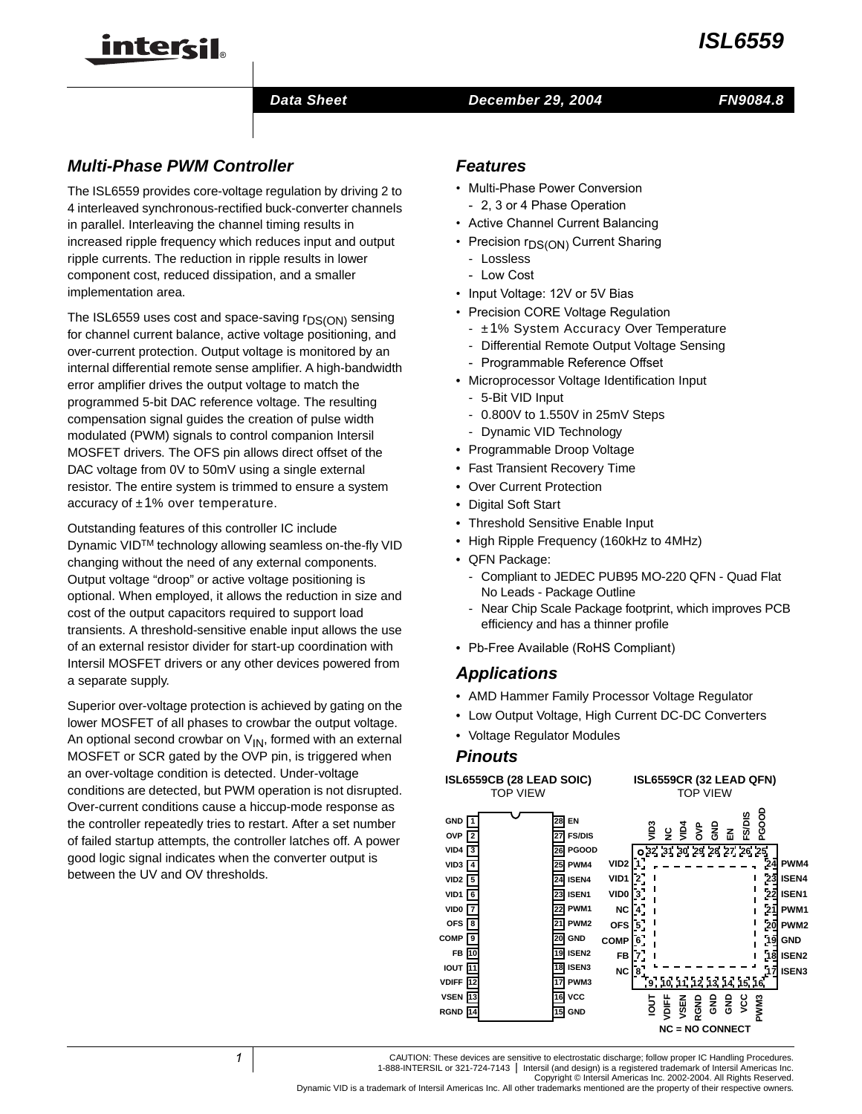



# **Data Sheet Construction December 29, 2004**

# **FN9084.8**

# **Multi-Phase PWM Controller**

The ISL6559 provides core-voltage regulation by driving 2 to 4 interleaved synchronous-rectified buck-converter channels in parallel. Interleaving the channel timing results in increased ripple frequency which reduces input and output ripple currents. The reduction in ripple results in lower component cost, reduced dissipation, and a smaller implementation area.

The ISL6559 uses cost and space-saving  $r_{DS(ON)}$  sensing for channel current balance, active voltage positioning, and over-current protection. Output voltage is monitored by an internal differential remote sense amplifier. A high-bandwidth error amplifier drives the output voltage to match the programmed 5-bit DAC reference voltage. The resulting compensation signal guides the creation of pulse width modulated (PWM) signals to control companion Intersil MOSFET drivers. The OFS pin allows direct offset of the DAC voltage from 0V to 50mV using a single external resistor. The entire system is trimmed to ensure a system accuracy of ±1% over temperature.

Outstanding features of this controller IC include Dynamic VIDTM technology allowing seamless on-the-fly VID changing without the need of any external components. Output voltage "droop" or active voltage positioning is optional. When employed, it allows the reduction in size and cost of the output capacitors required to support load transients. A threshold-sensitive enable input allows the use of an external resistor divider for start-up coordination with Intersil MOSFET drivers or any other devices powered from a separate supply.

Superior over-voltage protection is achieved by gating on the lower MOSFET of all phases to crowbar the output voltage. An optional second crowbar on  $V_{IN}$ , formed with an external MOSFET or SCR gated by the OVP pin, is triggered when an over-voltage condition is detected. Under-voltage conditions are detected, but PWM operation is not disrupted. Over-current conditions cause a hiccup-mode response as the controller repeatedly tries to restart. After a set number of failed startup attempts, the controller latches off. A power good logic signal indicates when the converter output is between the UV and OV thresholds.

# **Features**

- Multi-Phase Power Conversion - 2, 3 or 4 Phase Operation
- Active Channel Current Balancing
- Precision r<sub>DS(ON)</sub> Current Sharing
	- Lossless
	- Low Cost
- Input Voltage: 12V or 5V Bias
- Precision CORE Voltage Regulation
	- ±1% System Accuracy Over Temperature
	- Differential Remote Output Voltage Sensing
	- Programmable Reference Offset
- Microprocessor Voltage Identification Input
	- 5-Bit VID Input
	- 0.800V to 1.550V in 25mV Steps
	- Dynamic VID Technology
- Programmable Droop Voltage
- **Fast Transient Recovery Time**
- **Over Current Protection**
- Digital Soft Start
- Threshold Sensitive Enable Input
- High Ripple Frequency (160kHz to 4MHz)
- QFN Package:
	- Compliant to JEDEC PUB95 MO-220 QFN Quad Flat No Leads - Package Outline
	- Near Chip Scale Package footprint, which improves PCB efficiency and has a thinner profile
- Pb-Free Available (RoHS Compliant)

# *Applications*

- AMD Hammer Family Processor Voltage Regulator
- Low Output Voltage, High Current DC-DC Converters
- Voltage Regulator Modules

# **Pinouts**

**VSEN RGND**

**13 14**

**ISL6559CB (28 LEAD SOIC) ISL6559CR (32 LEAD QFN) GND 1 OVP VID4 VID3 FB IOUT VDIFF EN 28 ISEN4 PWM4 PGOOD ISEN3 18 GND PWM3 17 FS/DIS 27 26 25 24 23 ISEN1 22 PWM1 21 20 19 2 3 4 5 6 7 8 9 10 11 12 OFS VID2 COMP ISEN2 VID1 VID0 PWM2 VID3**  $\tilde{\mathbf{z}}$ **VID4 VID2 VID1 VID0 NC OFS COMP FB NC 1 2 3 4 5 6 7 8 32 31 30 29 28 27 26 25 9 10 11 12 13 14 15 16** TOP VIEW TOP VIEW

**VCC 16 GND**

**15**

Copyright © Intersil Americas Inc. 2002-2004. All Rights Reserved.

**IOUT VDIFF VSEN RGND GND GND VCC PWM3**

 $\epsilon$ **GND EN FS/DIS PGOOD**

**NC = NO CONNECT**

**ISEN4 ISEN1 PWM1 PWM2 GND ISEN2 ISEN3**

**PWM4**

 $\blacksquare$ 

 $\blacksquare$ 

Dynamic VID is a trademark of Intersil Americas Inc. All other trademarks mentioned are the property of their respective owners.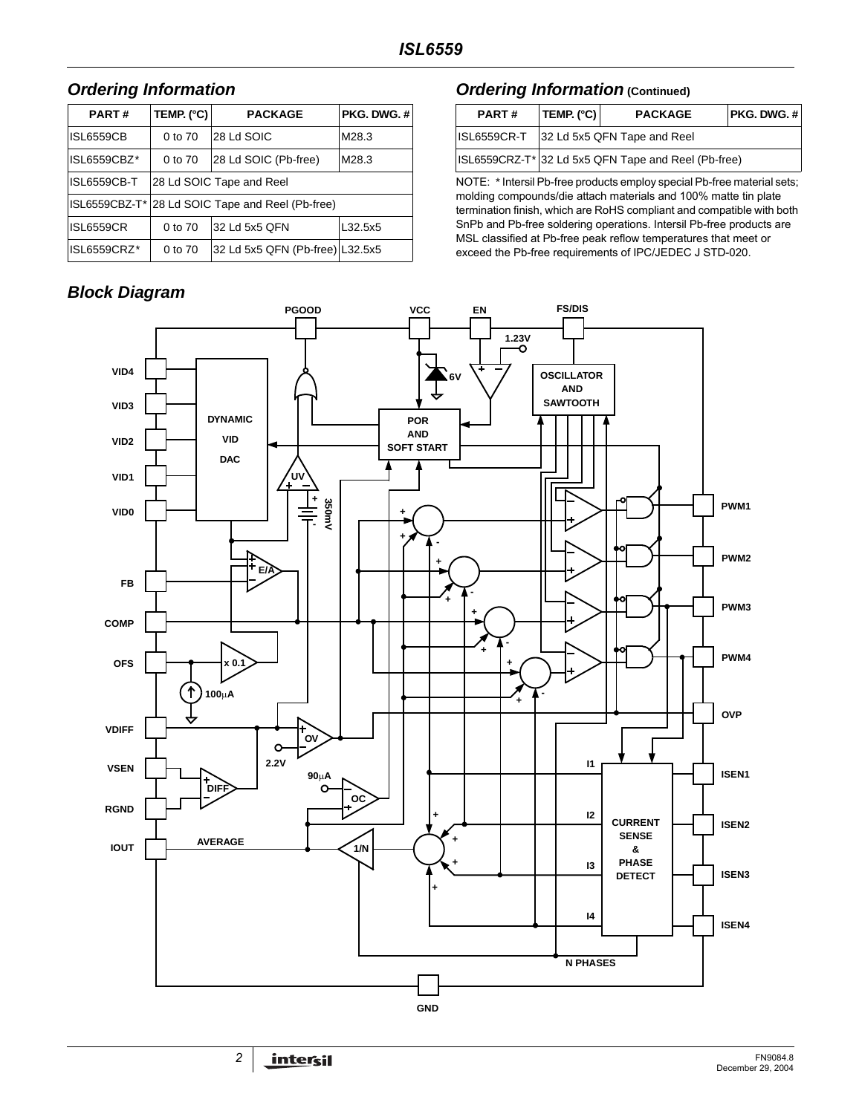# **Ordering Information**

| <b>PART#</b>     | TEMP. (°C)                                       | <b>PACKAGE</b>                  | PKG. DWG. # |  |  |  |
|------------------|--------------------------------------------------|---------------------------------|-------------|--|--|--|
| <b>ISL6559CB</b> | 0 to 70                                          | 28 Ld SOIC                      | M28.3       |  |  |  |
| ISL6559CBZ*      | 0 to 70                                          | 28 Ld SOIC (Pb-free)            | M28.3       |  |  |  |
| ISL6559CB-T      |                                                  | 28 Ld SOIC Tape and Reel        |             |  |  |  |
|                  | ISL6559CBZ-T* 28 Ld SOIC Tape and Reel (Pb-free) |                                 |             |  |  |  |
| <b>ISL6559CR</b> | 0 to 70                                          | 32 Ld 5x5 QFN                   | L32.5x5     |  |  |  |
| ISL6559CRZ*      | 0 to 70                                          | 32 Ld 5x5 QFN (Pb-free) L32.5x5 |             |  |  |  |

# **Block Diagram**

# **Ordering Information** (Continued)

| PART#                                                                    | TEMP. (°C)                  | <b>PACKAGE</b> | PKG, DWG, # |  |  |
|--------------------------------------------------------------------------|-----------------------------|----------------|-------------|--|--|
| <b>ISL6559CR-T</b>                                                       | 32 Ld 5x5 QFN Tape and Reel |                |             |  |  |
| ISL6559CRZ-T <sup>*</sup> 32 Ld 5x5 QFN Tape and Reel (Pb-free)          |                             |                |             |  |  |
| NOTE: * Intersil Dh. free producto employ encoid Dh. free meterial sate: |                             |                |             |  |  |

NOTE: \* Intersil Pb-free products employ special Pb-free material sets; molding compounds/die attach materials and 100% matte tin plate termination finish, which are RoHS compliant and compatible with both SnPb and Pb-free soldering operations. Intersil Pb-free products are MSL classified at Pb-free peak reflow temperatures that meet or exceed the Pb-free requirements of IPC/JEDEC J STD-020.

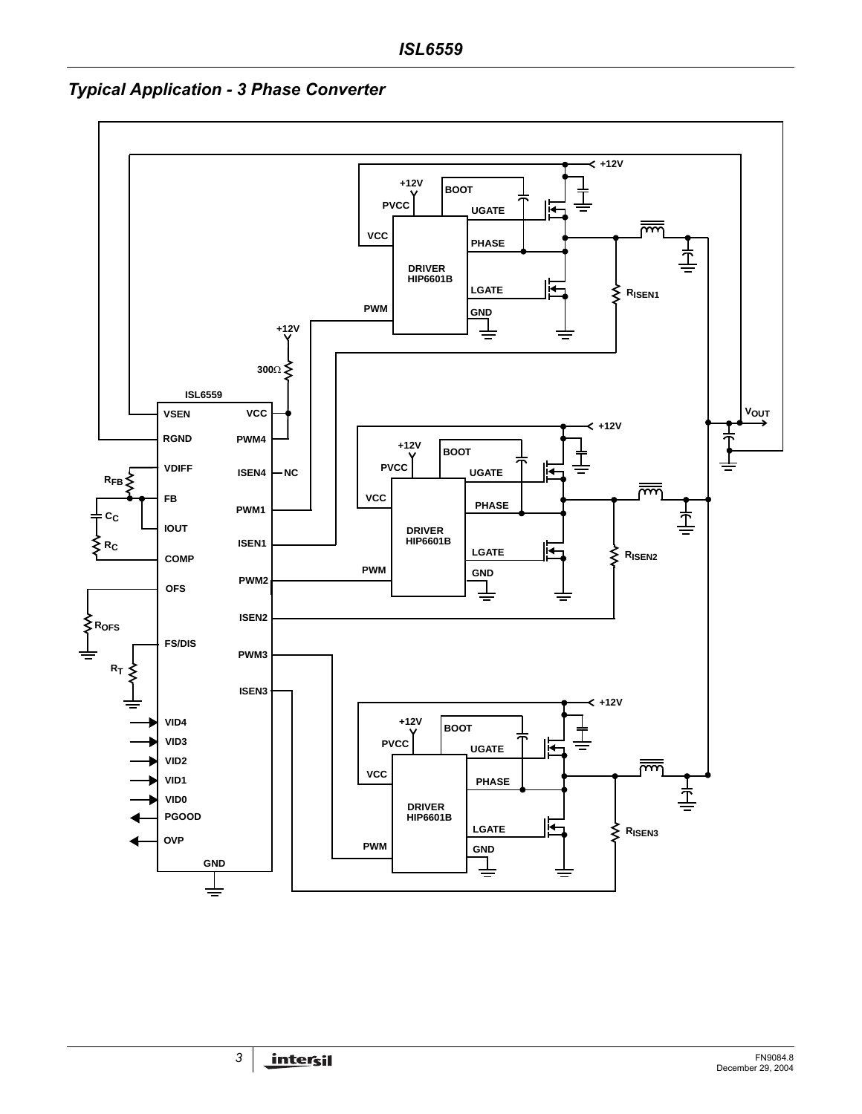

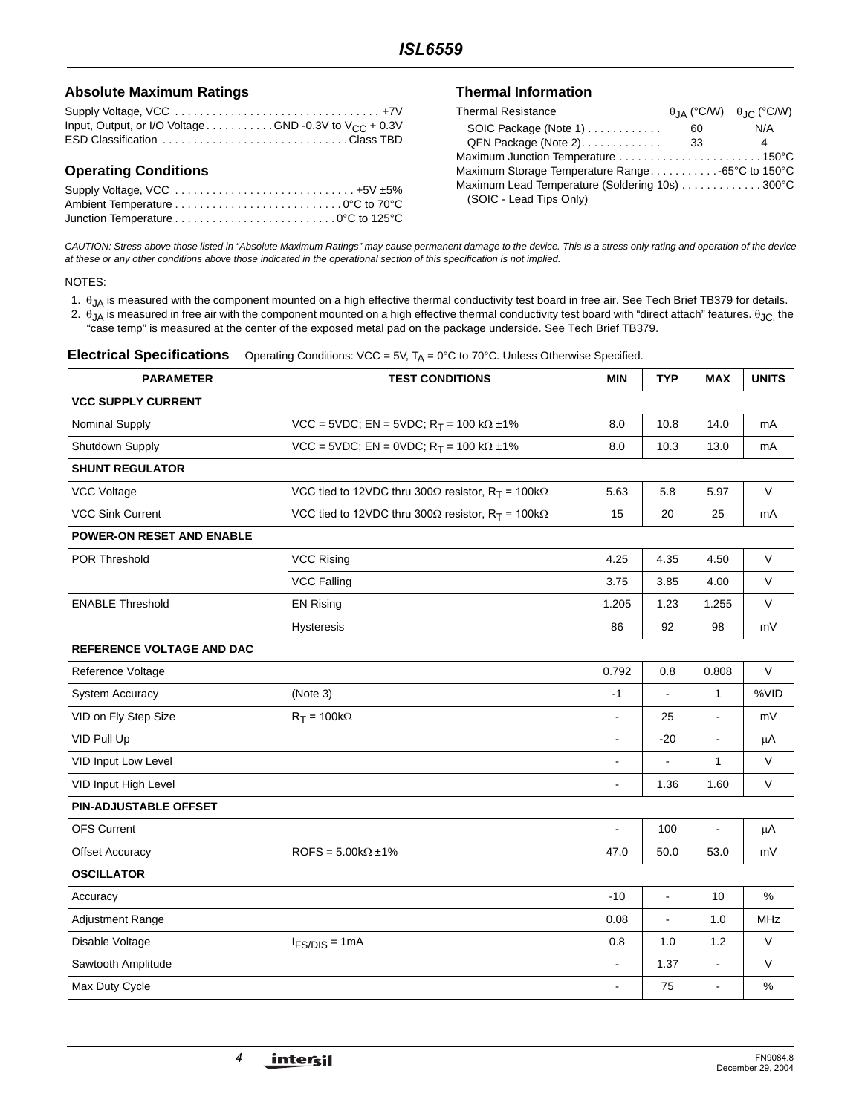### **Absolute Maximum Ratings**

| Input, Output, or I/O Voltage GND -0.3V to $V_{CC}$ + 0.3V |  |
|------------------------------------------------------------|--|
| ESD Classification Class TBD                               |  |

# **Operating Conditions**

| Supply Voltage, VCC  +5V ±5% |  |
|------------------------------|--|
|                              |  |
|                              |  |

### **Thermal Information**

| <b>Thermal Resistance</b>                       |    | $\theta$ IA (°C/W) $\theta$ IC (°C/W) |
|-------------------------------------------------|----|---------------------------------------|
| SOIC Package (Note 1)                           | 60 | N/A                                   |
| QFN Package (Note 2).                           | 33 | 4                                     |
| Maximum Junction Temperature 150°C              |    |                                       |
| Maximum Storage Temperature Range-65°C to 150°C |    |                                       |
| Maximum Lead Temperature (Soldering 10s) 300°C  |    |                                       |
| (SOIC - Lead Tips Only)                         |    |                                       |

CAUTION: Stress above those listed in "Absolute Maximum Ratings" may cause permanent damage to the device. This is a stress only rating and operation of the device at these or any other conditions above those indicated in the operational section of this specification is not implied.

#### NOTES:

1. θJA is measured with the component mounted on a high effective thermal conductivity test board in free air. See Tech Brief TB379 for details.

2.  $\theta_{JA}$  is measured in free air with the component mounted on a high effective thermal conductivity test board with "direct attach" features.  $\theta_{JC}$  the "case temp" is measured at the center of the exposed metal pad on the package underside. See Tech Brief TB379.

| <b>PARAMETER</b>                 | <b>TEST CONDITIONS</b>                                                       | <b>MIN</b>               | <b>TYP</b>     | <b>MAX</b>               | <b>UNITS</b> |
|----------------------------------|------------------------------------------------------------------------------|--------------------------|----------------|--------------------------|--------------|
| <b>VCC SUPPLY CURRENT</b>        |                                                                              |                          |                |                          |              |
| Nominal Supply                   | $VCC = 5VDC$ ; EN = 5VDC; R <sub>T</sub> = 100 kΩ ±1%                        | 8.0                      | 10.8           | 14.0                     | mA           |
| Shutdown Supply                  | $VCC = 5VDC$ ; EN = 0VDC; R <sub>T</sub> = 100 kΩ ±1%                        | 8.0                      | 10.3           | 13.0                     | mA           |
| <b>SHUNT REGULATOR</b>           |                                                                              |                          |                |                          |              |
| <b>VCC Voltage</b>               | VCC tied to 12VDC thru 300 $\Omega$ resistor, R <sub>T</sub> = 100k $\Omega$ | 5.63                     | 5.8            | 5.97                     | V            |
| <b>VCC Sink Current</b>          | VCC tied to 12VDC thru 300 $\Omega$ resistor, R <sub>T</sub> = 100k $\Omega$ | 15                       | 20             | 25                       | mA           |
| <b>POWER-ON RESET AND ENABLE</b> |                                                                              |                          |                |                          |              |
| POR Threshold                    | <b>VCC Rising</b>                                                            | 4.25                     | 4.35           | 4.50                     | V            |
|                                  | <b>VCC Falling</b>                                                           | 3.75                     | 3.85           | 4.00                     | V            |
| <b>ENABLE Threshold</b>          | <b>EN Rising</b>                                                             | 1.205                    | 1.23           | 1.255                    | V            |
|                                  | Hysteresis                                                                   | 86                       | 92             | 98                       | mV           |
| REFERENCE VOLTAGE AND DAC        |                                                                              |                          |                |                          |              |
| Reference Voltage                |                                                                              | 0.792                    | 0.8            | 0.808                    | V            |
| <b>System Accuracy</b>           | (Note 3)                                                                     | $-1$                     | $\blacksquare$ | $\mathbf{1}$             | %VID         |
| VID on Fly Step Size             | $R_T = 100k\Omega$                                                           | $\blacksquare$           | 25             | $\blacksquare$           | mV           |
| VID Pull Up                      |                                                                              | $\blacksquare$           | $-20$          | $\overline{\phantom{a}}$ | μA           |
| VID Input Low Level              |                                                                              | $\blacksquare$           |                | $\mathbf{1}$             | V            |
| VID Input High Level             |                                                                              |                          | 1.36           | 1.60                     | V            |
| PIN-ADJUSTABLE OFFSET            |                                                                              |                          |                |                          |              |
| <b>OFS Current</b>               |                                                                              |                          | 100            |                          | $\mu$ A      |
| <b>Offset Accuracy</b>           | $ROFS = 5.00k\Omega \pm 1\%$                                                 | 47.0                     | 50.0           | 53.0                     | mV           |
| <b>OSCILLATOR</b>                |                                                                              |                          |                |                          |              |
| Accuracy                         |                                                                              | $-10$                    | $\frac{1}{2}$  | 10                       | %            |
| <b>Adjustment Range</b>          |                                                                              | 0.08                     | $\blacksquare$ | 1.0                      | MHz          |
| Disable Voltage                  | $IFS/DIS = 1mA$                                                              | 0.8                      | 1.0            | 1.2                      | V            |
| Sawtooth Amplitude               |                                                                              | $\blacksquare$           | 1.37           | $\blacksquare$           | V            |
| Max Duty Cycle                   |                                                                              | $\overline{\phantom{a}}$ | 75             | $\overline{a}$           | %            |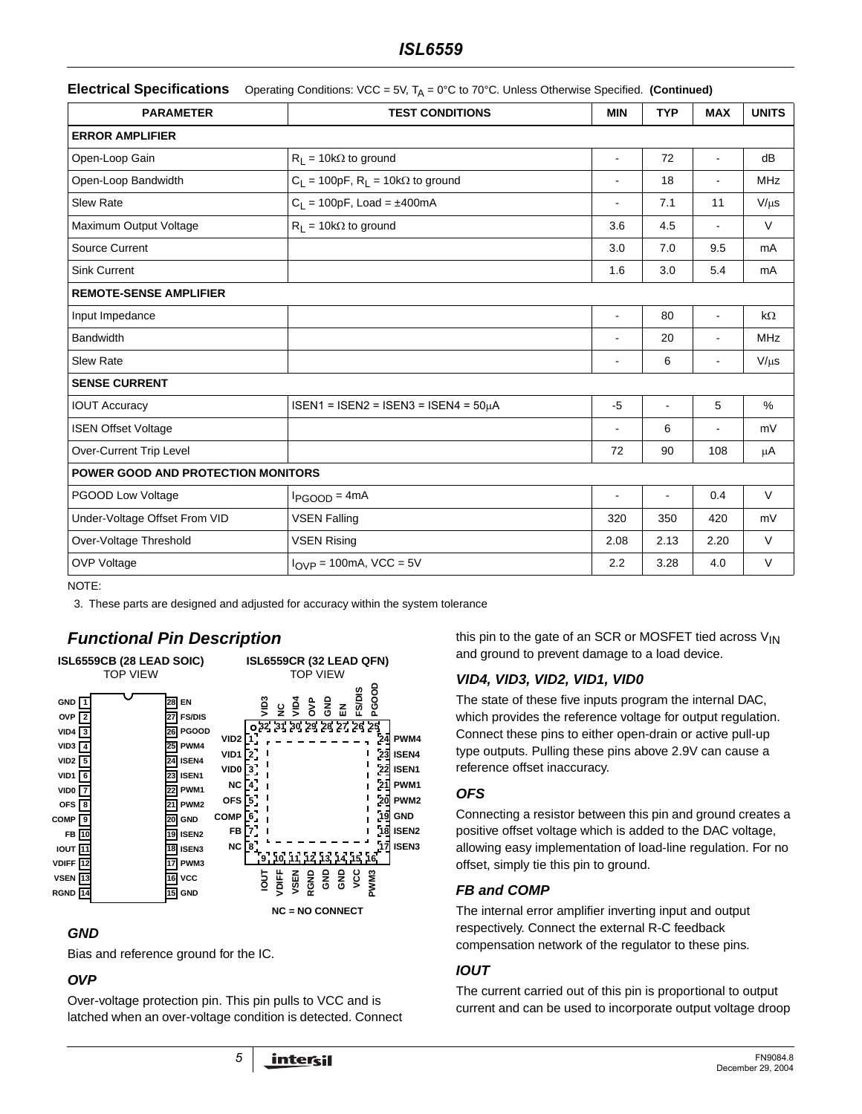# *ISL6559*

|  | Electrical Specifications Operating Conditions: VCC = 5V, TA = 0°C to 70°C. Unless Otherwise Specified. (Continued) |  |
|--|---------------------------------------------------------------------------------------------------------------------|--|
|--|---------------------------------------------------------------------------------------------------------------------|--|

| <b>PARAMETER</b>                          | <b>TEST CONDITIONS</b>                      | <b>MIN</b>               | <b>TYP</b>               | <b>MAX</b>     | <b>UNITS</b> |
|-------------------------------------------|---------------------------------------------|--------------------------|--------------------------|----------------|--------------|
| <b>ERROR AMPLIFIER</b>                    |                                             |                          |                          |                |              |
| Open-Loop Gain                            | $R_L = 10k\Omega$ to ground                 | $\overline{\phantom{a}}$ | 72                       | $\blacksquare$ | dB           |
| Open-Loop Bandwidth                       | $C_1 = 100pF$ , $R_1 = 10k\Omega$ to ground |                          | 18                       |                | <b>MHz</b>   |
| <b>Slew Rate</b>                          | $C_L = 100pF$ , Load = ±400mA               | $\overline{\phantom{a}}$ | 7.1                      | 11             | $V/\mu s$    |
| Maximum Output Voltage                    | $R_1 = 10k\Omega$ to ground                 | 3.6                      | 4.5                      |                | $\vee$       |
| Source Current                            |                                             | 3.0                      | 7.0                      | 9.5            | mA           |
| <b>Sink Current</b>                       |                                             | 1.6                      | 3.0                      | 5.4            | mA           |
| <b>REMOTE-SENSE AMPLIFIER</b>             |                                             |                          |                          |                |              |
| Input Impedance                           |                                             | $\blacksquare$           | 80                       |                | $k\Omega$    |
| <b>Bandwidth</b>                          |                                             |                          | 20                       |                | <b>MHz</b>   |
| <b>Slew Rate</b>                          |                                             |                          | 6                        |                | $V/\mu s$    |
| <b>SENSE CURRENT</b>                      |                                             |                          |                          |                |              |
| <b>IOUT Accuracy</b>                      | $ISEN1 = ISEN2 = ISEN3 = ISEN4 = 50µA$      | $-5$                     | $\overline{\phantom{a}}$ | 5              | %            |
| <b>ISEN Offset Voltage</b>                |                                             |                          | 6                        |                | mV           |
| Over-Current Trip Level                   |                                             | 72                       | 90                       | 108            | μA           |
| <b>POWER GOOD AND PROTECTION MONITORS</b> |                                             |                          |                          |                |              |
| PGOOD Low Voltage                         | $I_{PGOOD} = 4mA$                           | $\overline{\phantom{a}}$ | $\blacksquare$           | 0.4            | $\vee$       |
| Under-Voltage Offset From VID             | <b>VSEN Falling</b>                         | 320                      | 350                      | 420            | mV           |
| Over-Voltage Threshold                    | <b>VSEN Rising</b>                          | 2.08                     | 2.13                     | 2.20           | $\vee$       |
| <b>OVP Voltage</b>                        | $I_{\text{OVP}}$ = 100mA, VCC = 5V          | 2.2                      | 3.28                     | 4.0            | $\vee$       |

NOTE:

3. These parts are designed and adjusted for accuracy within the system tolerance

# **Functional Pin Description**



# **GND**

Bias and reference ground for the IC.

# **OVP**

Over-voltage protection pin. This pin pulls to VCC and is latched when an over-voltage condition is detected. Connect this pin to the gate of an SCR or MOSFET tied across  $V_{IN}$ and ground to prevent damage to a load device.

# **VID4, VID3, VID2, VID1, VID0**

The state of these five inputs program the internal DAC, which provides the reference voltage for output regulation. Connect these pins to either open-drain or active pull-up type outputs. Pulling these pins above 2.9V can cause a reference offset inaccuracy.

# **OFS**

Connecting a resistor between this pin and ground creates a positive offset voltage which is added to the DAC voltage, allowing easy implementation of load-line regulation. For no offset, simply tie this pin to ground.

# **FB and COMP**

The internal error amplifier inverting input and output respectively. Connect the external R-C feedback compensation network of the regulator to these pins.

# **IOUT**

The current carried out of this pin is proportional to output current and can be used to incorporate output voltage droop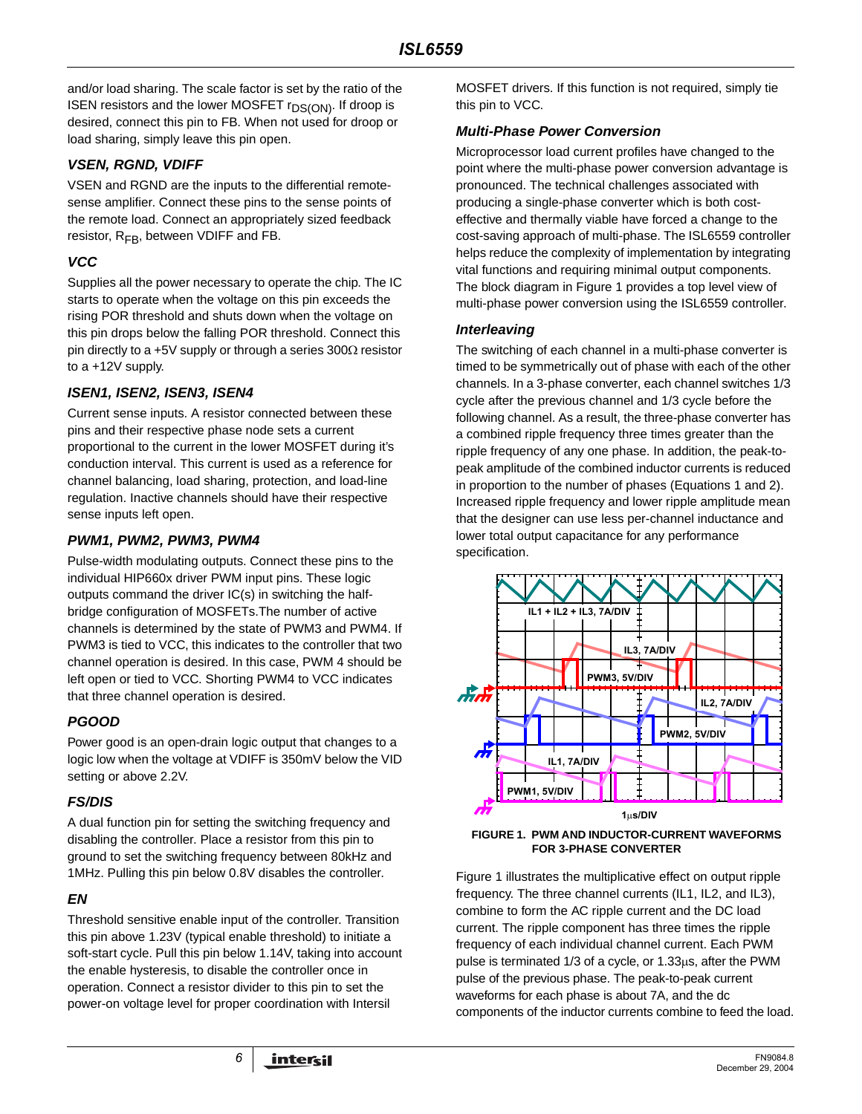and/or load sharing. The scale factor is set by the ratio of the ISEN resistors and the lower MOSFET r<sub>DS(ON)</sub>. If droop is desired, connect this pin to FB. When not used for droop or load sharing, simply leave this pin open.

# **VSEN, RGND, VDIFF**

VSEN and RGND are the inputs to the differential remotesense amplifier. Connect these pins to the sense points of the remote load. Connect an appropriately sized feedback resistor,  $R_{FB}$ , between VDIFF and FB.

### **VCC**

Supplies all the power necessary to operate the chip. The IC starts to operate when the voltage on this pin exceeds the rising POR threshold and shuts down when the voltage on this pin drops below the falling POR threshold. Connect this pin directly to a +5V supply or through a series 300Ω resistor to a +12V supply.

# **ISEN1, ISEN2, ISEN3, ISEN4**

Current sense inputs. A resistor connected between these pins and their respective phase node sets a current proportional to the current in the lower MOSFET during it's conduction interval. This current is used as a reference for channel balancing, load sharing, protection, and load-line regulation. Inactive channels should have their respective sense inputs left open.

# **PWM1, PWM2, PWM3, PWM4**

Pulse-width modulating outputs. Connect these pins to the individual HIP660x driver PWM input pins. These logic outputs command the driver IC(s) in switching the halfbridge configuration of MOSFETs.The number of active channels is determined by the state of PWM3 and PWM4. If PWM3 is tied to VCC, this indicates to the controller that two channel operation is desired. In this case, PWM 4 should be left open or tied to VCC. Shorting PWM4 to VCC indicates that three channel operation is desired.

# **PGOOD**

Power good is an open-drain logic output that changes to a logic low when the voltage at VDIFF is 350mV below the VID setting or above 2.2V.

# **FS/DIS**

A dual function pin for setting the switching frequency and disabling the controller. Place a resistor from this pin to ground to set the switching frequency between 80kHz and 1MHz. Pulling this pin below 0.8V disables the controller.

# **EN**

Threshold sensitive enable input of the controller. Transition this pin above 1.23V (typical enable threshold) to initiate a soft-start cycle. Pull this pin below 1.14V, taking into account the enable hysteresis, to disable the controller once in operation. Connect a resistor divider to this pin to set the power-on voltage level for proper coordination with Intersil

MOSFET drivers. If this function is not required, simply tie this pin to VCC.

### **Multi-Phase Power Conversion**

Microprocessor load current profiles have changed to the point where the multi-phase power conversion advantage is pronounced. The technical challenges associated with producing a single-phase converter which is both costeffective and thermally viable have forced a change to the cost-saving approach of multi-phase. The ISL6559 controller helps reduce the complexity of implementation by integrating vital functions and requiring minimal output components. The block diagram in Figure 1 provides a top level view of multi-phase power conversion using the ISL6559 controller.

### **Interleaving**

The switching of each channel in a multi-phase converter is timed to be symmetrically out of phase with each of the other channels. In a 3-phase converter, each channel switches 1/3 cycle after the previous channel and 1/3 cycle before the following channel. As a result, the three-phase converter has a combined ripple frequency three times greater than the ripple frequency of any one phase. In addition, the peak-topeak amplitude of the combined inductor currents is reduced in proportion to the number of phases (Equations 1 and 2). Increased ripple frequency and lower ripple amplitude mean that the designer can use less per-channel inductance and lower total output capacitance for any performance specification.





Figure 1 illustrates the multiplicative effect on output ripple frequency. The three channel currents (IL1, IL2, and IL3), combine to form the AC ripple current and the DC load current. The ripple component has three times the ripple frequency of each individual channel current. Each PWM pulse is terminated 1/3 of a cycle, or 1.33µs, after the PWM pulse of the previous phase. The peak-to-peak current waveforms for each phase is about 7A, and the dc components of the inductor currents combine to feed the load.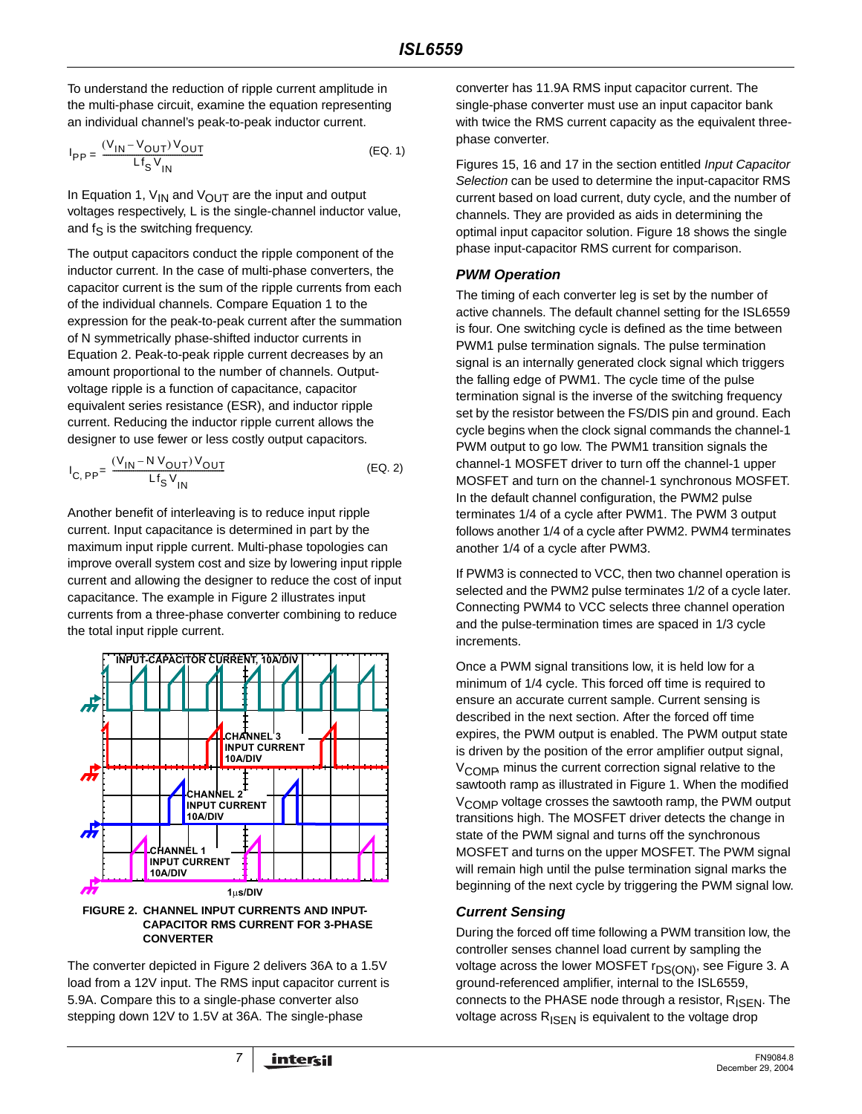To understand the reduction of ripple current amplitude in the multi-phase circuit, examine the equation representing an individual channel's peak-to-peak inductor current.

$$
I_{PP} = \frac{(V_{IN} - V_{OUT}) V_{OUT}}{Lf_S V_{IN}}
$$
 (EQ. 1)

In Equation 1,  $V_{IN}$  and  $V_{OUT}$  are the input and output voltages respectively, L is the single-channel inductor value, and  $f_S$  is the switching frequency.

The output capacitors conduct the ripple component of the inductor current. In the case of multi-phase converters, the capacitor current is the sum of the ripple currents from each of the individual channels. Compare Equation 1 to the expression for the peak-to-peak current after the summation of N symmetrically phase-shifted inductor currents in Equation 2. Peak-to-peak ripple current decreases by an amount proportional to the number of channels. Outputvoltage ripple is a function of capacitance, capacitor equivalent series resistance (ESR), and inductor ripple current. Reducing the inductor ripple current allows the designer to use fewer or less costly output capacitors.

$$
I_{C, PP} = \frac{(V_{1N} - N V_{OUT}) V_{OUT}}{Lf_S V_{1N}}
$$
 (EQ. 2)

Another benefit of interleaving is to reduce input ripple current. Input capacitance is determined in part by the maximum input ripple current. Multi-phase topologies can improve overall system cost and size by lowering input ripple current and allowing the designer to reduce the cost of input capacitance. The example in Figure 2 illustrates input currents from a three-phase converter combining to reduce the total input ripple current.



**CAPACITOR RMS CURRENT FOR 3-PHASE CONVERTER**

The converter depicted in Figure 2 delivers 36A to a 1.5V load from a 12V input. The RMS input capacitor current is 5.9A. Compare this to a single-phase converter also stepping down 12V to 1.5V at 36A. The single-phase

converter has 11.9A RMS input capacitor current. The single-phase converter must use an input capacitor bank with twice the RMS current capacity as the equivalent threephase converter.

Figures 15, 16 and 17 in the section entitled Input Capacitor Selection can be used to determine the input-capacitor RMS current based on load current, duty cycle, and the number of channels. They are provided as aids in determining the optimal input capacitor solution. Figure 18 shows the single phase input-capacitor RMS current for comparison.

# **PWM Operation**

The timing of each converter leg is set by the number of active channels. The default channel setting for the ISL6559 is four. One switching cycle is defined as the time between PWM1 pulse termination signals. The pulse termination signal is an internally generated clock signal which triggers the falling edge of PWM1. The cycle time of the pulse termination signal is the inverse of the switching frequency set by the resistor between the FS/DIS pin and ground. Each cycle begins when the clock signal commands the channel-1 PWM output to go low. The PWM1 transition signals the channel-1 MOSFET driver to turn off the channel-1 upper MOSFET and turn on the channel-1 synchronous MOSFET. In the default channel configuration, the PWM2 pulse terminates 1/4 of a cycle after PWM1. The PWM 3 output follows another 1/4 of a cycle after PWM2. PWM4 terminates another 1/4 of a cycle after PWM3.

If PWM3 is connected to VCC, then two channel operation is selected and the PWM2 pulse terminates 1/2 of a cycle later. Connecting PWM4 to VCC selects three channel operation and the pulse-termination times are spaced in 1/3 cycle increments.

Once a PWM signal transitions low, it is held low for a minimum of 1/4 cycle. This forced off time is required to ensure an accurate current sample. Current sensing is described in the next section. After the forced off time expires, the PWM output is enabled. The PWM output state is driven by the position of the error amplifier output signal,  $V_{\rm COMB}$  minus the current correction signal relative to the sawtooth ramp as illustrated in Figure 1. When the modified  $V_{\rm COMP}$  voltage crosses the sawtooth ramp, the PWM output transitions high. The MOSFET driver detects the change in state of the PWM signal and turns off the synchronous MOSFET and turns on the upper MOSFET. The PWM signal will remain high until the pulse termination signal marks the beginning of the next cycle by triggering the PWM signal low.

# **Current Sensing**

During the forced off time following a PWM transition low, the controller senses channel load current by sampling the voltage across the lower MOSFET r<sub>DS(ON)</sub>, see Figure 3. A ground-referenced amplifier, internal to the ISL6559, connects to the PHASE node through a resistor,  $R_{\text{ISFN}}$ . The voltage across  $R_{\text{ISEN}}$  is equivalent to the voltage drop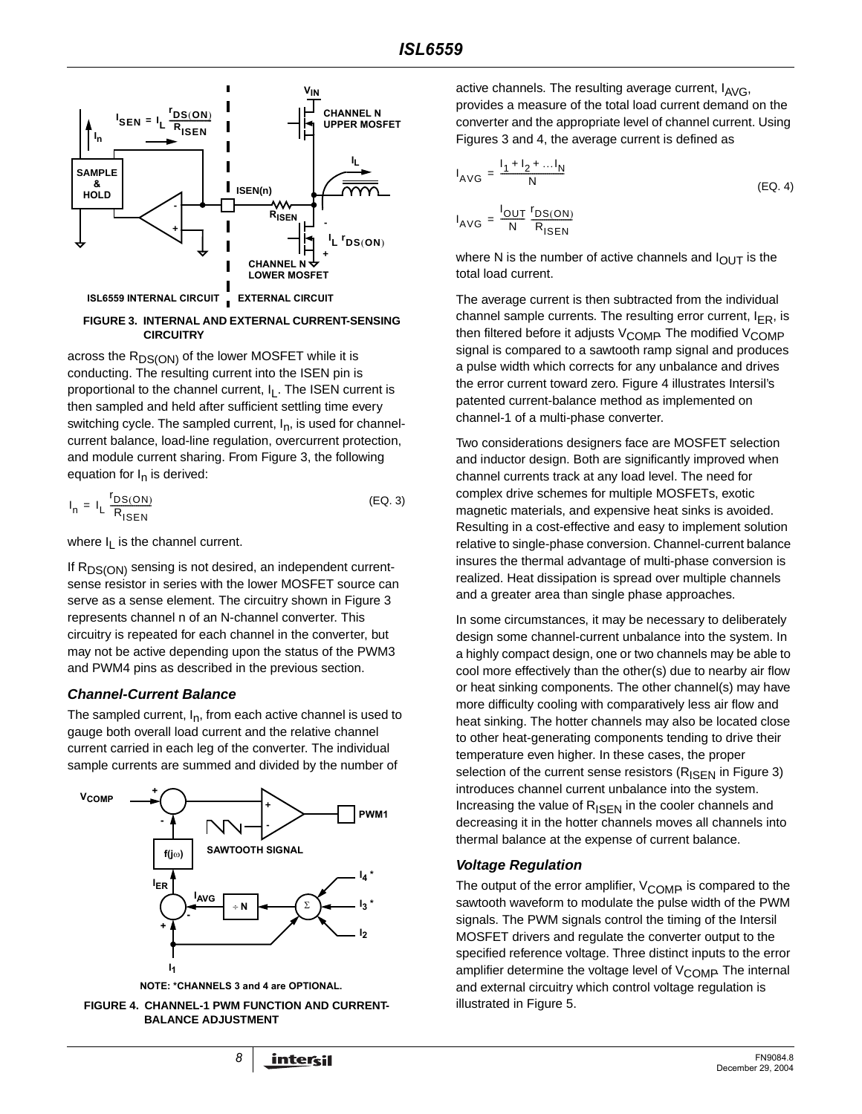

#### **FIGURE 3. INTERNAL AND EXTERNAL CURRENT-SENSING CIRCUITRY**

across the R<sub>DS(ON)</sub> of the lower MOSFET while it is conducting. The resulting current into the ISEN pin is proportional to the channel current, I<sub>L</sub>. The ISEN current is then sampled and held after sufficient settling time every switching cycle. The sampled current,  $I_n$ , is used for channelcurrent balance, load-line regulation, overcurrent protection, and module current sharing. From Figure 3, the following equation for  $I_n$  is derived:

$$
I_n = I_L \frac{r_{DS(ON)}}{R_{ISEN}}
$$
 (EQ. 3)

where  $I_L$  is the channel current.

If R<sub>DS(ON)</sub> sensing is not desired, an independent currentsense resistor in series with the lower MOSFET source can serve as a sense element. The circuitry shown in Figure 3 represents channel n of an N-channel converter. This circuitry is repeated for each channel in the converter, but may not be active depending upon the status of the PWM3 and PWM4 pins as described in the previous section.

### **Channel-Current Balance**

The sampled current,  $I_n$ , from each active channel is used to gauge both overall load current and the relative channel current carried in each leg of the converter. The individual sample currents are summed and divided by the number of



**NOTE: \*CHANNELS 3 and 4 are OPTIONAL.**



active channels. The resulting average current,  $I_{AVG}$ , provides a measure of the total load current demand on the converter and the appropriate level of channel current. Using Figures 3 and 4, the average current is defined as

$$
I_{AVG} = \frac{I_1 + I_2 + ... I_N}{N}
$$
 (EQ. 4)  

$$
I_{AVG} = \frac{I_{OUT}}{N} \frac{I_{DS(ON)}}{R_{ISBN}}
$$

where N is the number of active channels and  $I_{\text{OUT}}$  is the total load current.

The average current is then subtracted from the individual channel sample currents. The resulting error current,  $I_{FR}$ , is then filtered before it adjusts  $V_{\text{COMP}}$  The modified  $V_{\text{COMP}}$ signal is compared to a sawtooth ramp signal and produces a pulse width which corrects for any unbalance and drives the error current toward zero. Figure 4 illustrates Intersil's patented current-balance method as implemented on channel-1 of a multi-phase converter.

Two considerations designers face are MOSFET selection and inductor design. Both are significantly improved when channel currents track at any load level. The need for complex drive schemes for multiple MOSFETs, exotic magnetic materials, and expensive heat sinks is avoided. Resulting in a cost-effective and easy to implement solution relative to single-phase conversion. Channel-current balance insures the thermal advantage of multi-phase conversion is realized. Heat dissipation is spread over multiple channels and a greater area than single phase approaches.

In some circumstances, it may be necessary to deliberately design some channel-current unbalance into the system. In a highly compact design, one or two channels may be able to cool more effectively than the other(s) due to nearby air flow or heat sinking components. The other channel(s) may have more difficulty cooling with comparatively less air flow and heat sinking. The hotter channels may also be located close to other heat-generating components tending to drive their temperature even higher. In these cases, the proper selection of the current sense resistors ( $R_{\text{ISEN}}$  in Figure 3) introduces channel current unbalance into the system. Increasing the value of  $R_{\text{ISFN}}$  in the cooler channels and decreasing it in the hotter channels moves all channels into thermal balance at the expense of current balance.

# **Voltage Regulation**

The output of the error amplifier,  $V_{\text{COMP}}$  is compared to the sawtooth waveform to modulate the pulse width of the PWM signals. The PWM signals control the timing of the Intersil MOSFET drivers and regulate the converter output to the specified reference voltage. Three distinct inputs to the error amplifier determine the voltage level of  $V_{\text{COMP}}$  The internal and external circuitry which control voltage regulation is illustrated in Figure 5.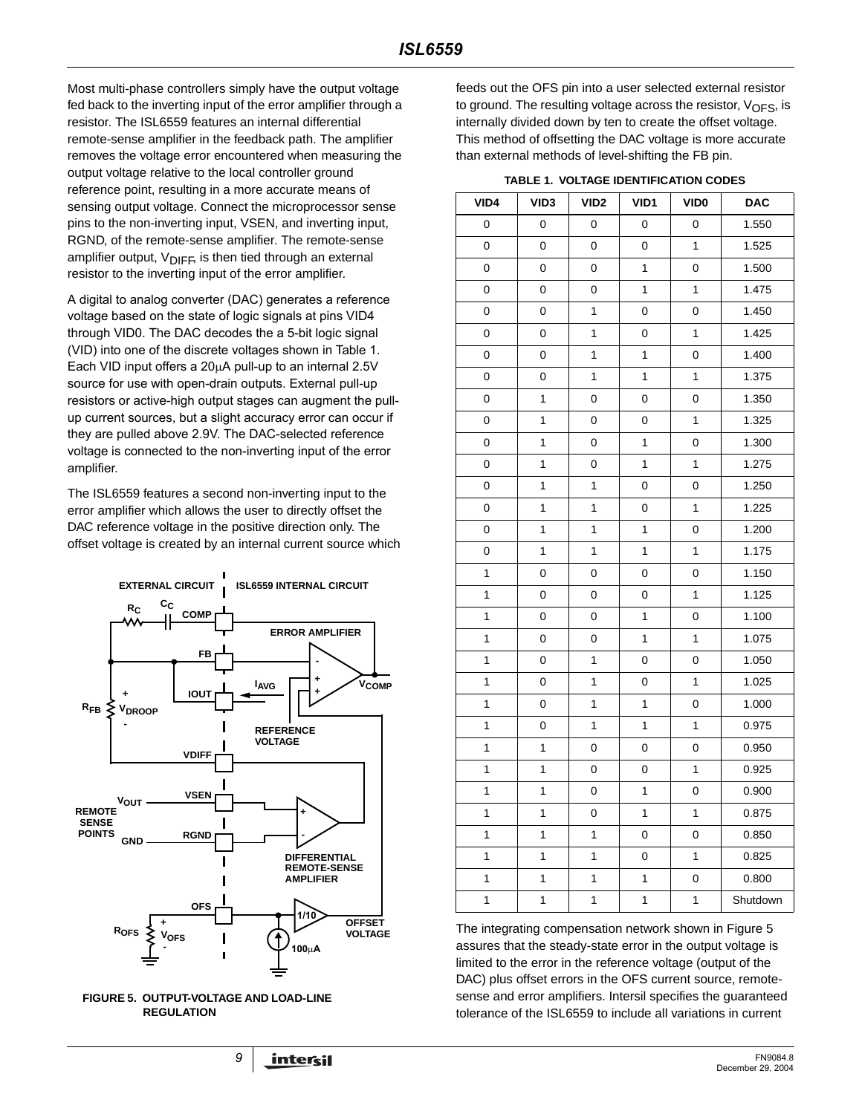Most multi-phase controllers simply have the output voltage fed back to the inverting input of the error amplifier through a resistor. The ISL6559 features an internal differential remote-sense amplifier in the feedback path. The amplifier removes the voltage error encountered when measuring the output voltage relative to the local controller ground reference point, resulting in a more accurate means of sensing output voltage. Connect the microprocessor sense pins to the non-inverting input, VSEN, and inverting input, RGND, of the remote-sense amplifier. The remote-sense amplifier output,  $V_{\text{DIFF}}$  is then tied through an external resistor to the inverting input of the error amplifier.

A digital to analog converter (DAC) generates a reference voltage based on the state of logic signals at pins VID4 through VID0. The DAC decodes the a 5-bit logic signal (VID) into one of the discrete voltages shown in Table 1. Each VID input offers a 20µA pull-up to an internal 2.5V source for use with open-drain outputs. External pull-up resistors or active-high output stages can augment the pullup current sources, but a slight accuracy error can occur if they are pulled above 2.9V. The DAC-selected reference voltage is connected to the non-inverting input of the error amplifier.

The ISL6559 features a second non-inverting input to the error amplifier which allows the user to directly offset the DAC reference voltage in the positive direction only. The offset voltage is created by an internal current source which





feeds out the OFS pin into a user selected external resistor to ground. The resulting voltage across the resistor,  $V_{\text{OFS}}$ , is internally divided down by ten to create the offset voltage. This method of offsetting the DAC voltage is more accurate than external methods of level-shifting the FB pin.

### **TABLE 1. VOLTAGE IDENTIFICATION CODES**

| VID4        | VID <sub>3</sub> | VID <sub>2</sub> | VID1         | VID <sub>0</sub> | <b>DAC</b> |
|-------------|------------------|------------------|--------------|------------------|------------|
| 0           | 0                | 0                | 0            | 0                | 1.550      |
| 0           | 0                | 0                | 0            | 1                | 1.525      |
| 0           | 0                | 0                | 1            | 0                | 1.500      |
| 0           | 0                | 0                | 1            | $\mathbf{1}$     | 1.475      |
| 0           | 0                | 1                | 0            | 0                | 1.450      |
| 0           | 0                | 1                | 0            | 1                | 1.425      |
| 0           | 0                | 1                | 1            | 0                | 1.400      |
| 0           | 0                | 1                | 1            | 1                | 1.375      |
| 0           | 1                | 0                | 0            | 0                | 1.350      |
| 0           | 1                | 0                | 0            | 1                | 1.325      |
| 0           | 1                | 0                | 1            | 0                | 1.300      |
| 0           | 1                | 0                | 1            | 1                | 1.275      |
| 0           | $\mathbf{1}$     | 1                | 0            | 0                | 1.250      |
| 0           | 1                | 1                | 0            | 1                | 1.225      |
| 0           | 1                | 1                | 1            | 0                | 1.200      |
| 0           | 1                | 1                | 1            | 1                | 1.175      |
| 1           | 0                | 0                | 0            | 0                | 1.150      |
| $\mathbf 1$ | 0                | 0                | 0            | 1                | 1.125      |
| 1           | 0                | 0                | 1            | 0                | 1.100      |
| 1           | 0                | 0                | 1            | 1                | 1.075      |
| 1           | 0                | 1                | 0            | 0                | 1.050      |
| 1           | 0                | 1                | 0            | 1                | 1.025      |
| 1           | 0                | 1                | 1            | 0                | 1.000      |
| 1           | 0                | 1                | 1            | $\mathbf{1}$     | 0.975      |
| 1           | 1                | 0                | 0            | 0                | 0.950      |
| 1           | 1                | 0                | 0            | $\mathbf{1}$     | 0.925      |
| 1           | 1                | 0                | 1            | 0                | 0.900      |
| 1           | 1                | 0                | $\mathbf{1}$ | 1                | 0.875      |
| 1           | 1                | 1                | 0            | 0                | 0.850      |
| 1           | 1                | 1                | 0            | 1                | 0.825      |
| 1           | 1                | 1                | 1            | 0                | 0.800      |
| 1           | $\mathbf{1}$     | 1                | $\mathbf 1$  | 1                | Shutdown   |

The integrating compensation network shown in Figure 5 assures that the steady-state error in the output voltage is limited to the error in the reference voltage (output of the DAC) plus offset errors in the OFS current source, remotesense and error amplifiers. Intersil specifies the guaranteed tolerance of the ISL6559 to include all variations in current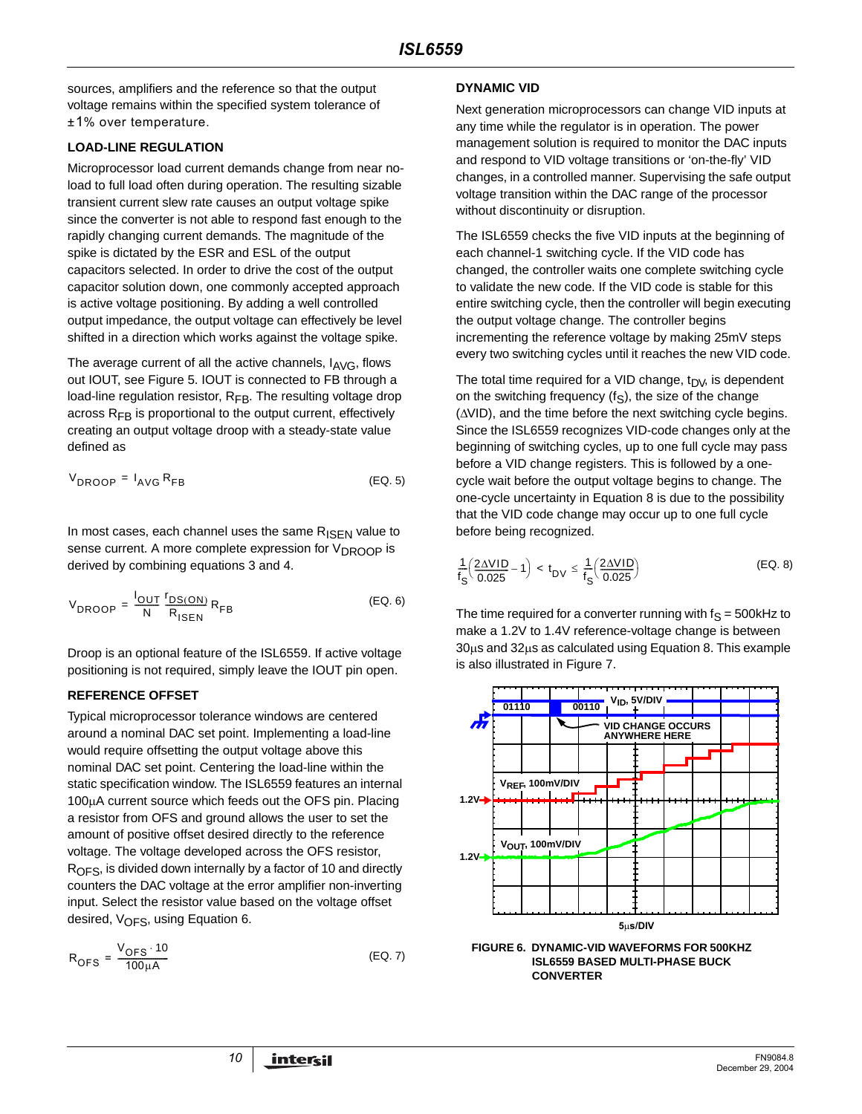sources, amplifiers and the reference so that the output voltage remains within the specified system tolerance of ±1% over temperature.

### **LOAD-LINE REGULATION**

Microprocessor load current demands change from near noload to full load often during operation. The resulting sizable transient current slew rate causes an output voltage spike since the converter is not able to respond fast enough to the rapidly changing current demands. The magnitude of the spike is dictated by the ESR and ESL of the output capacitors selected. In order to drive the cost of the output capacitor solution down, one commonly accepted approach is active voltage positioning. By adding a well controlled output impedance, the output voltage can effectively be level shifted in a direction which works against the voltage spike.

The average current of all the active channels,  $I_{\text{AVG}}$ , flows out IOUT, see Figure 5. IOUT is connected to FB through a load-line regulation resistor,  $R_{FB}$ . The resulting voltage drop across  $R_{FB}$  is proportional to the output current, effectively creating an output voltage droop with a steady-state value defined as

$$
V_{\text{DROOP}} = I_{\text{AVG}} R_{\text{FB}} \tag{EQ. 5}
$$

In most cases, each channel uses the same  $R_{\text{ISEN}}$  value to sense current. A more complete expression for V<sub>DROOP</sub> is derived by combining equations 3 and 4.

$$
V_{DROOP} = \frac{I_{OUT}}{N} \frac{r_{DS(ON)}}{R_{ISEN}} R_{FB}
$$
 (EQ. 6)

Droop is an optional feature of the ISL6559. If active voltage positioning is not required, simply leave the IOUT pin open.

# **REFERENCE OFFSET**

Typical microprocessor tolerance windows are centered around a nominal DAC set point. Implementing a load-line would require offsetting the output voltage above this nominal DAC set point. Centering the load-line within the static specification window. The ISL6559 features an internal 100µA current source which feeds out the OFS pin. Placing a resistor from OFS and ground allows the user to set the amount of positive offset desired directly to the reference voltage. The voltage developed across the OFS resistor,  $R<sub>OFS</sub>$ , is divided down internally by a factor of 10 and directly counters the DAC voltage at the error amplifier non-inverting input. Select the resistor value based on the voltage offset desired,  $V_{\text{OFS}}$ , using Equation 6.

$$
R_{\text{OFS}} = \frac{V_{\text{OFS}} \cdot 10}{100 \mu \text{A}} \tag{Eq. 7}
$$

### **DYNAMIC VID**

Next generation microprocessors can change VID inputs at any time while the regulator is in operation. The power management solution is required to monitor the DAC inputs and respond to VID voltage transitions or 'on-the-fly' VID changes, in a controlled manner. Supervising the safe output voltage transition within the DAC range of the processor without discontinuity or disruption.

The ISL6559 checks the five VID inputs at the beginning of each channel-1 switching cycle. If the VID code has changed, the controller waits one complete switching cycle to validate the new code. If the VID code is stable for this entire switching cycle, then the controller will begin executing the output voltage change. The controller begins incrementing the reference voltage by making 25mV steps every two switching cycles until it reaches the new VID code.

The total time required for a VID change,  $t_{\text{DV}}$ , is dependent on the switching frequency  $(f_S)$ , the size of the change (∆VID), and the time before the next switching cycle begins. Since the ISL6559 recognizes VID-code changes only at the beginning of switching cycles, up to one full cycle may pass before a VID change registers. This is followed by a onecycle wait before the output voltage begins to change. The one-cycle uncertainty in Equation 8 is due to the possibility that the VID code change may occur up to one full cycle before being recognized.

$$
\frac{1}{f_S} \left( \frac{2\Delta VID}{0.025} - 1 \right) < t_{DV} \le \frac{1}{f_S} \left( \frac{2\Delta VID}{0.025} \right) \tag{Eq. 8}
$$

The time required for a converter running with  $f_S = 500k$ Hz to make a 1.2V to 1.4V reference-voltage change is between 30µs and 32µs as calculated using Equation 8. This example is also illustrated in Figure 7.



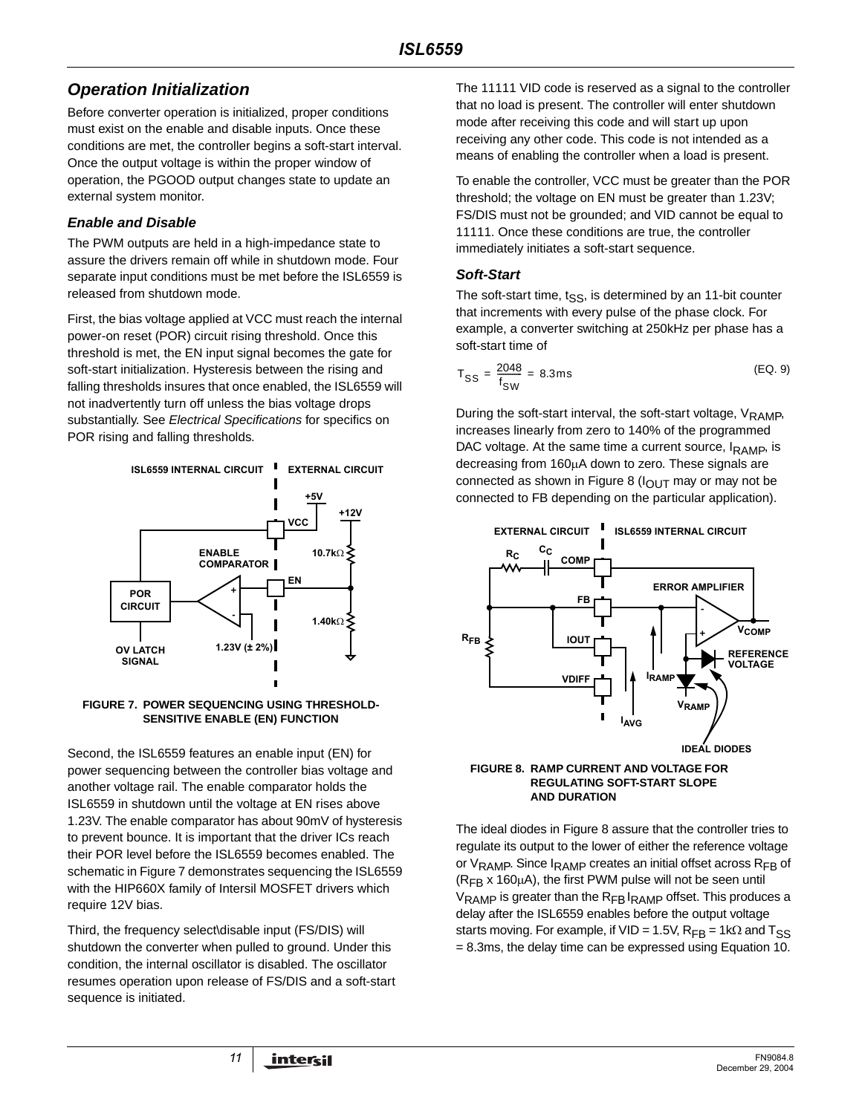# **Operation Initialization**

Before converter operation is initialized, proper conditions must exist on the enable and disable inputs. Once these conditions are met, the controller begins a soft-start interval. Once the output voltage is within the proper window of operation, the PGOOD output changes state to update an external system monitor.

# **Enable and Disable**

The PWM outputs are held in a high-impedance state to assure the drivers remain off while in shutdown mode. Four separate input conditions must be met before the ISL6559 is released from shutdown mode.

First, the bias voltage applied at VCC must reach the internal power-on reset (POR) circuit rising threshold. Once this threshold is met, the EN input signal becomes the gate for soft-start initialization. Hysteresis between the rising and falling thresholds insures that once enabled, the ISL6559 will not inadvertently turn off unless the bias voltage drops substantially. See Electrical Specifications for specifics on POR rising and falling thresholds.



#### **FIGURE 7. POWER SEQUENCING USING THRESHOLD-SENSITIVE ENABLE (EN) FUNCTION**

Second, the ISL6559 features an enable input (EN) for power sequencing between the controller bias voltage and another voltage rail. The enable comparator holds the ISL6559 in shutdown until the voltage at EN rises above 1.23V. The enable comparator has about 90mV of hysteresis to prevent bounce. It is important that the driver ICs reach their POR level before the ISL6559 becomes enabled. The schematic in Figure 7 demonstrates sequencing the ISL6559 with the HIP660X family of Intersil MOSFET drivers which require 12V bias.

Third, the frequency select\disable input (FS/DIS) will shutdown the converter when pulled to ground. Under this condition, the internal oscillator is disabled. The oscillator resumes operation upon release of FS/DIS and a soft-start sequence is initiated.

The 11111 VID code is reserved as a signal to the controller that no load is present. The controller will enter shutdown mode after receiving this code and will start up upon receiving any other code. This code is not intended as a means of enabling the controller when a load is present.

To enable the controller, VCC must be greater than the POR threshold; the voltage on EN must be greater than 1.23V; FS/DIS must not be grounded; and VID cannot be equal to 11111. Once these conditions are true, the controller immediately initiates a soft-start sequence.

# **Soft-Start**

The soft-start time,  $t_{SS}$ , is determined by an 11-bit counter that increments with every pulse of the phase clock. For example, a converter switching at 250kHz per phase has a soft-start time of

$$
T_{SS} = \frac{2048}{f_{SW}} = 8.3 \text{ms}
$$
 (EQ. 9)

During the soft-start interval, the soft-start voltage,  $V_{\text{RAMP}}$ , increases linearly from zero to 140% of the programmed DAC voltage. At the same time a current source,  $I_{\rm{RAMP}}$ , is decreasing from 160µA down to zero. These signals are connected as shown in Figure 8 ( $I_{\text{OUT}}$  may or may not be connected to FB depending on the particular application).



#### **FIGURE 8. RAMP CURRENT AND VOLTAGE FOR REGULATING SOFT-START SLOPE AND DURATION**

The ideal diodes in Figure 8 assure that the controller tries to regulate its output to the lower of either the reference voltage or V<sub>RAMP</sub>. Since I<sub>RAMP</sub> creates an initial offset across R<sub>FB</sub> of  $(R<sub>FB</sub> x 160<sub>µ</sub>A)$ , the first PWM pulse will not be seen until V<sub>RAMP</sub> is greater than the R<sub>FB</sub> I<sub>RAMP</sub> offset. This produces a delay after the ISL6559 enables before the output voltage starts moving. For example, if VID = 1.5V,  $R_{FR}$  = 1k $\Omega$  and  $T_{SS}$ = 8.3ms, the delay time can be expressed using Equation 10.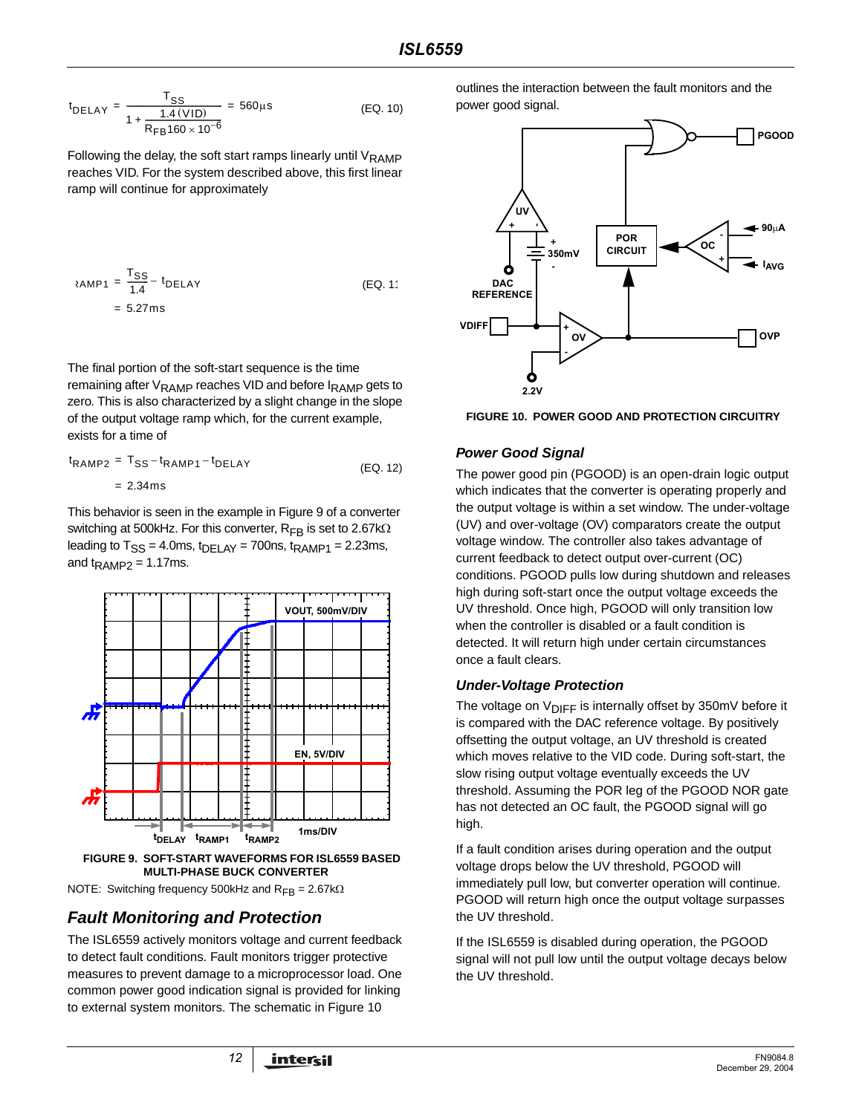$$
t_{DELAY} = \frac{T_{SS}}{1 + \frac{1.4 \, (\text{VID})}{R_{FB} 160 \times 10^{-6}}} = 560 \,\mu s \tag{EQ.10}
$$

Following the delay, the soft start ramps linearly until  $V_{\text{RAMP}}$ reaches VID. For the system described above, this first linear ramp will continue for approximately

$$
R = \frac{T_{SS}}{1.4} - t_{DELAY}
$$
 (EQ. 1)  
= 5.27ms

The final portion of the soft-start sequence is the time remaining after  $V_{\text{RAMP}}$  reaches VID and before  $I_{\text{RAMP}}$  gets to zero. This is also characterized by a slight change in the slope of the output voltage ramp which, for the current example, exists for a time of

$$
t_{\text{RAMP2}} = T_{\text{SS}} - t_{\text{RAMP1}} - t_{\text{DELAY}} \tag{Eq. 12}
$$
  
= 2.34ms

This behavior is seen in the example in Figure 9 of a converter switching at 500kHz. For this converter,  $R_{FB}$  is set to 2.67k $\Omega$ leading to  $T_{SS} = 4.0$ ms,  $t_{DELAY} = 700$ ns,  $t_{RAMP1} = 2.23$ ms, and  $t_{\text{RAMP2}} = 1.17 \text{ms}$ .



**MULTI-PHASE BUCK CONVERTER**

NOTE: Switching frequency 500kHz and R<sub>FB</sub> = 2.67kΩ

# **Fault Monitoring and Protection**

The ISL6559 actively monitors voltage and current feedback to detect fault conditions. Fault monitors trigger protective measures to prevent damage to a microprocessor load. One common power good indication signal is provided for linking to external system monitors. The schematic in Figure 10

outlines the interaction between the fault monitors and the power good signal.



**FIGURE 10. POWER GOOD AND PROTECTION CIRCUITRY**

# **Power Good Signal**

The power good pin (PGOOD) is an open-drain logic output which indicates that the converter is operating properly and the output voltage is within a set window. The under-voltage (UV) and over-voltage (OV) comparators create the output voltage window. The controller also takes advantage of current feedback to detect output over-current (OC) conditions. PGOOD pulls low during shutdown and releases high during soft-start once the output voltage exceeds the UV threshold. Once high, PGOOD will only transition low when the controller is disabled or a fault condition is detected. It will return high under certain circumstances once a fault clears.

# **Under-Voltage Protection**

The voltage on  $V_{\text{DIFF}}$  is internally offset by 350mV before it is compared with the DAC reference voltage. By positively offsetting the output voltage, an UV threshold is created which moves relative to the VID code. During soft-start, the slow rising output voltage eventually exceeds the UV threshold. Assuming the POR leg of the PGOOD NOR gate has not detected an OC fault, the PGOOD signal will go high.

If a fault condition arises during operation and the output voltage drops below the UV threshold, PGOOD will immediately pull low, but converter operation will continue. PGOOD will return high once the output voltage surpasses the UV threshold.

If the ISL6559 is disabled during operation, the PGOOD signal will not pull low until the output voltage decays below the UV threshold.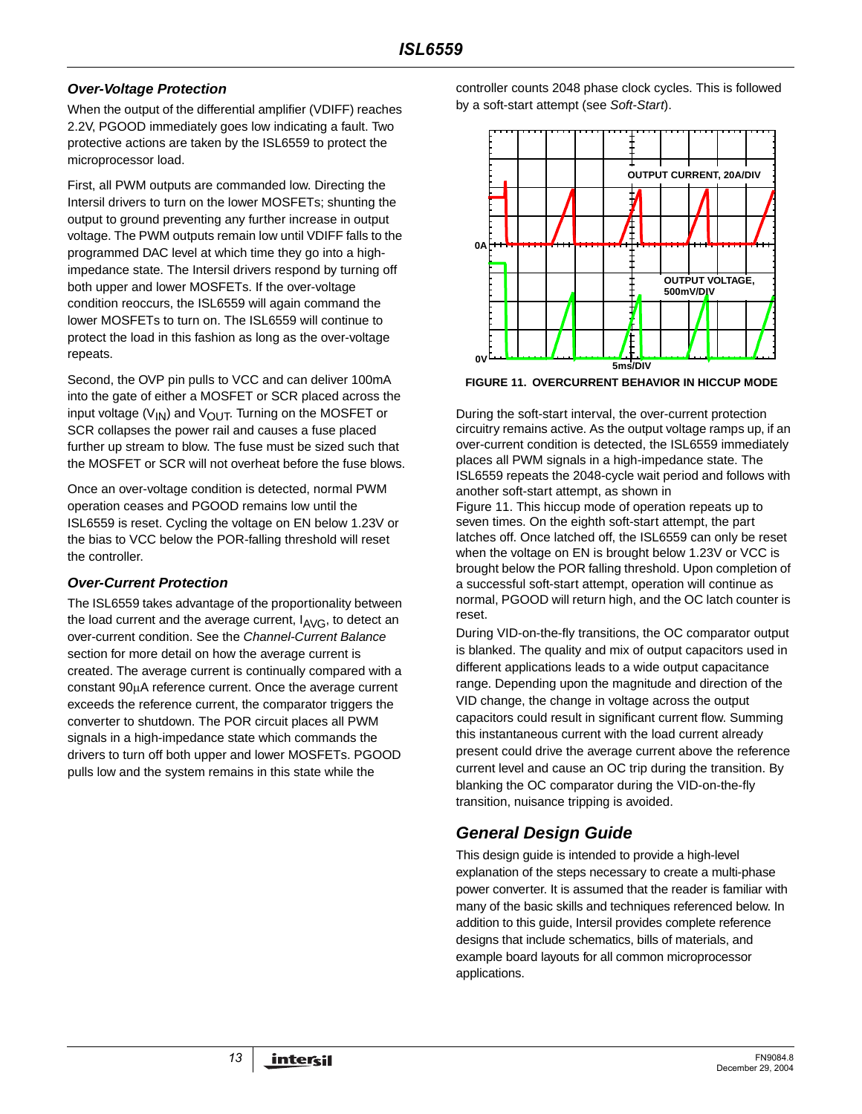# **Over-Voltage Protection**

When the output of the differential amplifier (VDIFF) reaches 2.2V, PGOOD immediately goes low indicating a fault. Two protective actions are taken by the ISL6559 to protect the microprocessor load.

First, all PWM outputs are commanded low. Directing the Intersil drivers to turn on the lower MOSFETs; shunting the output to ground preventing any further increase in output voltage. The PWM outputs remain low until VDIFF falls to the programmed DAC level at which time they go into a highimpedance state. The Intersil drivers respond by turning off both upper and lower MOSFETs. If the over-voltage condition reoccurs, the ISL6559 will again command the lower MOSFETs to turn on. The ISL6559 will continue to protect the load in this fashion as long as the over-voltage repeats.

Second, the OVP pin pulls to VCC and can deliver 100mA into the gate of either a MOSFET or SCR placed across the input voltage ( $V_{\text{IN}}$ ) and  $V_{\text{OUT}}$ . Turning on the MOSFET or SCR collapses the power rail and causes a fuse placed further up stream to blow. The fuse must be sized such that the MOSFET or SCR will not overheat before the fuse blows.

Once an over-voltage condition is detected, normal PWM operation ceases and PGOOD remains low until the ISL6559 is reset. Cycling the voltage on EN below 1.23V or the bias to VCC below the POR-falling threshold will reset the controller.

# **Over-Current Protection**

The ISL6559 takes advantage of the proportionality between the load current and the average current,  $I_{AVG}$ , to detect an over-current condition. See the Channel-Current Balance section for more detail on how the average current is created. The average current is continually compared with a constant 90µA reference current. Once the average current exceeds the reference current, the comparator triggers the converter to shutdown. The POR circuit places all PWM signals in a high-impedance state which commands the drivers to turn off both upper and lower MOSFETs. PGOOD pulls low and the system remains in this state while the

controller counts 2048 phase clock cycles. This is followed by a soft-start attempt (see Soft-Start).



**FIGURE 11. OVERCURRENT BEHAVIOR IN HICCUP MODE**

During the soft-start interval, the over-current protection circuitry remains active. As the output voltage ramps up, if an over-current condition is detected, the ISL6559 immediately places all PWM signals in a high-impedance state. The ISL6559 repeats the 2048-cycle wait period and follows with another soft-start attempt, as shown in Figure 11. This hiccup mode of operation repeats up to seven times. On the eighth soft-start attempt, the part

latches off. Once latched off, the ISL6559 can only be reset when the voltage on EN is brought below 1.23V or VCC is brought below the POR falling threshold. Upon completion of a successful soft-start attempt, operation will continue as normal, PGOOD will return high, and the OC latch counter is reset.

During VID-on-the-fly transitions, the OC comparator output is blanked. The quality and mix of output capacitors used in different applications leads to a wide output capacitance range. Depending upon the magnitude and direction of the VID change, the change in voltage across the output capacitors could result in significant current flow. Summing this instantaneous current with the load current already present could drive the average current above the reference current level and cause an OC trip during the transition. By blanking the OC comparator during the VID-on-the-fly transition, nuisance tripping is avoided.

# **General Design Guide**

This design guide is intended to provide a high-level explanation of the steps necessary to create a multi-phase power converter. It is assumed that the reader is familiar with many of the basic skills and techniques referenced below. In addition to this guide, Intersil provides complete reference designs that include schematics, bills of materials, and example board layouts for all common microprocessor applications.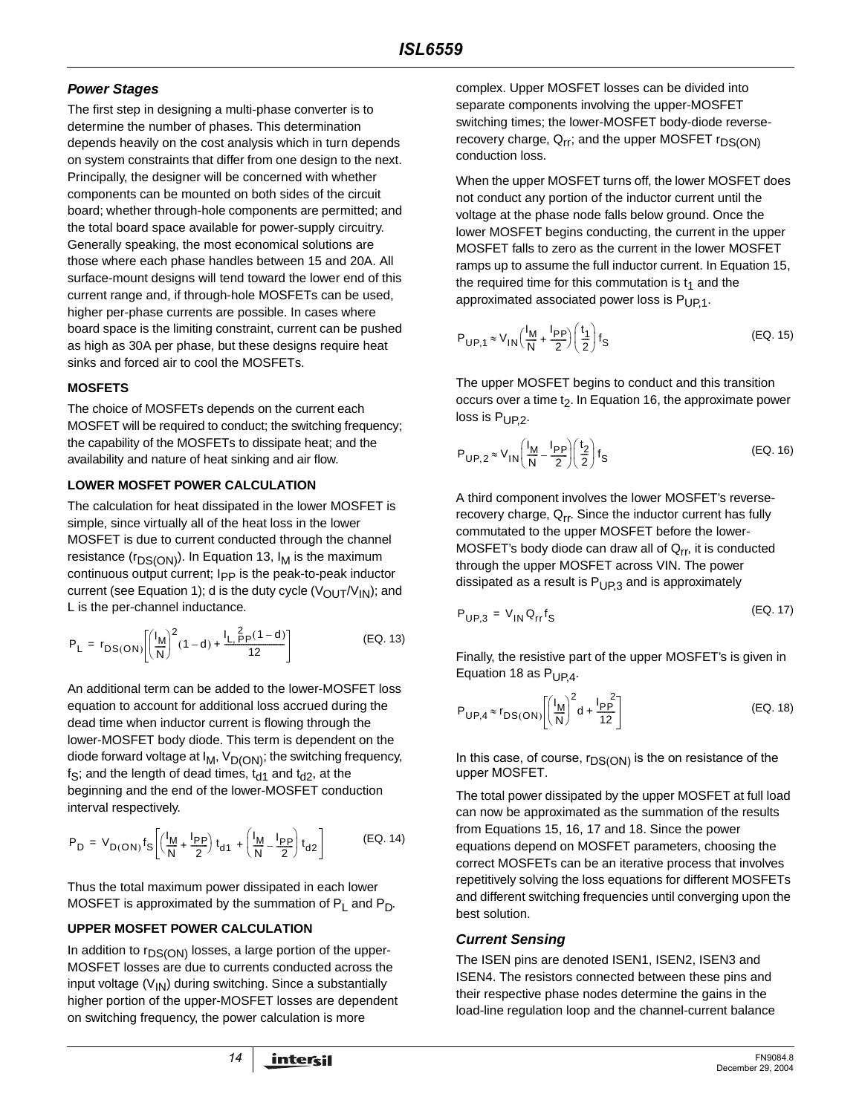# **Power Stages**

The first step in designing a multi-phase converter is to determine the number of phases. This determination depends heavily on the cost analysis which in turn depends on system constraints that differ from one design to the next. Principally, the designer will be concerned with whether components can be mounted on both sides of the circuit board; whether through-hole components are permitted; and the total board space available for power-supply circuitry. Generally speaking, the most economical solutions are those where each phase handles between 15 and 20A. All surface-mount designs will tend toward the lower end of this current range and, if through-hole MOSFETs can be used, higher per-phase currents are possible. In cases where board space is the limiting constraint, current can be pushed as high as 30A per phase, but these designs require heat sinks and forced air to cool the MOSFETs.

### **MOSFETS**

The choice of MOSFETs depends on the current each MOSFET will be required to conduct; the switching frequency; the capability of the MOSFETs to dissipate heat; and the availability and nature of heat sinking and air flow.

# **LOWER MOSFET POWER CALCULATION**

The calculation for heat dissipated in the lower MOSFET is simple, since virtually all of the heat loss in the lower MOSFET is due to current conducted through the channel resistance ( $r_{DS(ON)}$ ). In Equation 13,  $I_M$  is the maximum continuous output current; I<sub>PP</sub> is the peak-to-peak inductor current (see Equation 1); d is the duty cycle ( $V_{\text{OUT}}/V_{\text{IN}}$ ); and L is the per-channel inductance.

$$
P_{L} = r_{DS(ON)} \left[ \left( \frac{I_{M}}{N} \right)^{2} (1 - d) + \frac{I_{L,PP}(1 - d)}{12} \right]
$$
 (EQ. 13)

An additional term can be added to the lower-MOSFET loss equation to account for additional loss accrued during the dead time when inductor current is flowing through the lower-MOSFET body diode. This term is dependent on the diode forward voltage at  $I_M$ ,  $V_{D(ON)}$ ; the switching frequency,  $f_S$ ; and the length of dead times,  $t_{d1}$  and  $t_{d2}$ , at the beginning and the end of the lower-MOSFET conduction interval respectively.

$$
P_{D} = V_{D(ON)} f_{S} \left[ \left( \frac{I_{M}}{N} + \frac{I_{PP}}{2} \right) t_{d1} + \left( \frac{I_{M}}{N} - \frac{I_{PP}}{2} \right) t_{d2} \right]
$$
 (EQ. 14)

Thus the total maximum power dissipated in each lower MOSFET is approximated by the summation of  $P_1$  and  $P_D$ .

# **UPPER MOSFET POWER CALCULATION**

In addition to  $r_{DS(ON)}$  losses, a large portion of the upper-MOSFET losses are due to currents conducted across the input voltage  $(V_{1N})$  during switching. Since a substantially higher portion of the upper-MOSFET losses are dependent on switching frequency, the power calculation is more

complex. Upper MOSFET losses can be divided into separate components involving the upper-MOSFET switching times; the lower-MOSFET body-diode reverserecovery charge,  $Q_{rr}$ ; and the upper MOSFET  $r_{DS(ON)}$ conduction loss.

When the upper MOSFET turns off, the lower MOSFET does not conduct any portion of the inductor current until the voltage at the phase node falls below ground. Once the lower MOSFET begins conducting, the current in the upper MOSFET falls to zero as the current in the lower MOSFET ramps up to assume the full inductor current. In Equation 15, the required time for this commutation is  $t_1$  and the approximated associated power loss is  $P_{UP,1}$ .

$$
P_{\text{UP},1} \approx V_{\text{IN}} \left(\frac{I_{\text{M}}}{N} + \frac{I_{\text{PP}}}{2}\right) \left(\frac{t_1}{2}\right) f_{\text{S}}
$$
 (EQ. 15)

The upper MOSFET begins to conduct and this transition occurs over a time  $t<sub>2</sub>$ . In Equation 16, the approximate power loss is P<sub>UP.2</sub>.

$$
P_{\text{UP},2} \approx V_{\text{IN}} \left(\frac{I_{\text{M}}}{N} - \frac{I_{\text{PP}}}{2}\right) \left(\frac{t_2}{2}\right) f_{\text{S}}
$$
 (EQ. 16)

A third component involves the lower MOSFET's reverserecovery charge,  $Q_{rr}$ . Since the inductor current has fully commutated to the upper MOSFET before the lower-MOSFET's body diode can draw all of  $Q_{rr}$ , it is conducted through the upper MOSFET across VIN. The power dissipated as a result is  $P_{UPS}$  and is approximately

$$
P_{UP,3} = V_{IN} Q_{rr} f_S \tag{Eq. 17}
$$

Finally, the resistive part of the upper MOSFET's is given in Equation 18 as  $P_{UP,4}$ .

$$
P_{UP,4} \approx r_{DS(ON)} \left[ \left( \frac{I_M}{N} \right)^2 d + \frac{I_{PP}^2}{12} \right]
$$
 (EQ. 18)

In this case, of course,  $r_{DS(ON)}$  is the on resistance of the upper MOSFET.

The total power dissipated by the upper MOSFET at full load can now be approximated as the summation of the results from Equations 15, 16, 17 and 18. Since the power equations depend on MOSFET parameters, choosing the correct MOSFETs can be an iterative process that involves repetitively solving the loss equations for different MOSFETs and different switching frequencies until converging upon the best solution.

# **Current Sensing**

The ISEN pins are denoted ISEN1, ISEN2, ISEN3 and ISEN4. The resistors connected between these pins and their respective phase nodes determine the gains in the load-line regulation loop and the channel-current balance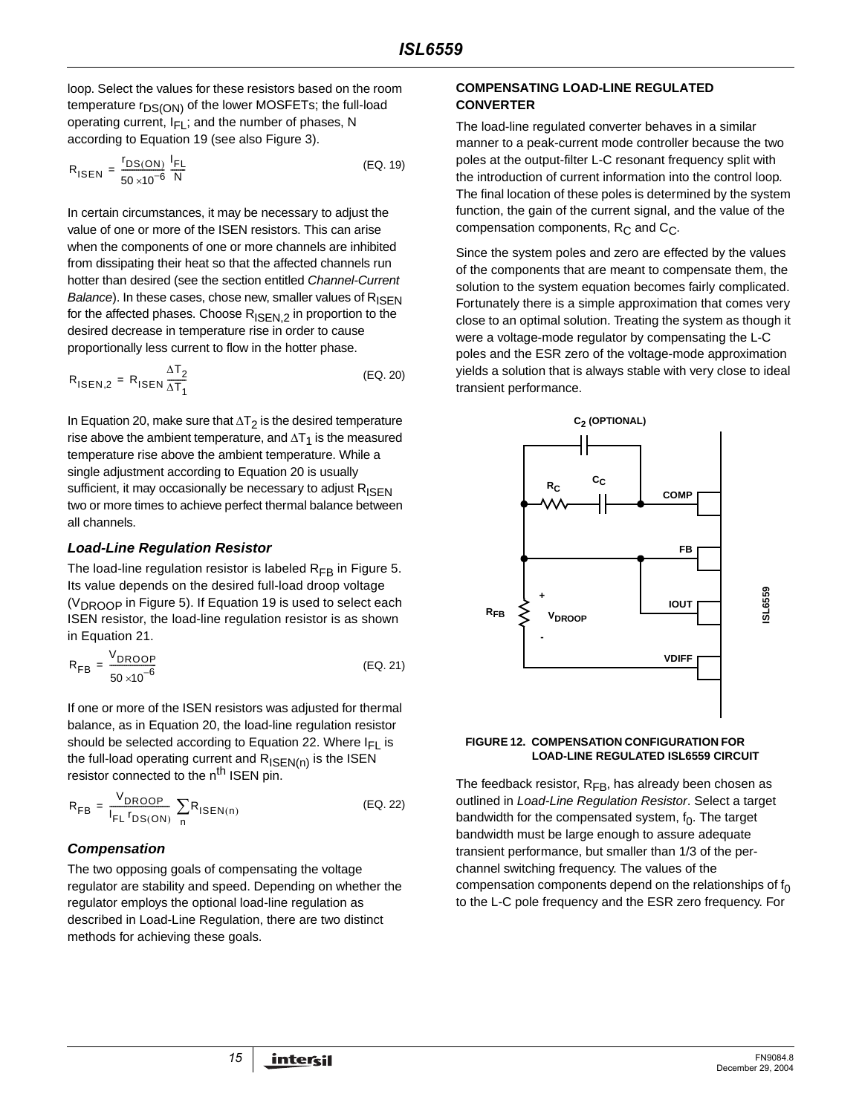loop. Select the values for these resistors based on the room temperature r<sub>DS(ON)</sub> of the lower MOSFETs; the full-load operating current,  $I_{FI}$ ; and the number of phases, N according to Equation 19 (see also Figure 3).

$$
R_{\text{ISEN}} = \frac{r_{\text{DS}(\text{ON})}}{50 \times 10^{-6}} \frac{I_{\text{FL}}}{N}
$$
 (EQ. 19)

In certain circumstances, it may be necessary to adjust the value of one or more of the ISEN resistors. This can arise when the components of one or more channels are inhibited from dissipating their heat so that the affected channels run hotter than desired (see the section entitled Channel-Current Balance). In these cases, chose new, smaller values of  $R_{\text{ISFN}}$ for the affected phases. Choose  $R_{\text{ISEN},2}$  in proportion to the desired decrease in temperature rise in order to cause proportionally less current to flow in the hotter phase.

$$
R_{\text{ISEN},2} = R_{\text{ISEN}} \frac{\Delta T_2}{\Delta T_1}
$$
 (EQ. 20)

In Equation 20, make sure that  $\Delta T_2$  is the desired temperature rise above the ambient temperature, and  $\Delta T_1$  is the measured temperature rise above the ambient temperature. While a single adjustment according to Equation 20 is usually sufficient, it may occasionally be necessary to adjust  $R_{\text{ISEN}}$ two or more times to achieve perfect thermal balance between all channels.

# **Load-Line Regulation Resistor**

The load-line regulation resistor is labeled  $R_{FB}$  in Figure 5. Its value depends on the desired full-load droop voltage (V<sub>DROOP</sub> in Figure 5). If Equation 19 is used to select each ISEN resistor, the load-line regulation resistor is as shown in Equation 21.

$$
R_{FB} = \frac{V_{DROOP}}{50 \times 10^{-6}}
$$
 (EQ. 21)

If one or more of the ISEN resistors was adjusted for thermal balance, as in Equation 20, the load-line regulation resistor should be selected according to Equation 22. Where  $I_{FL}$  is the full-load operating current and  $R_{\text{ISEN}(n)}$  is the ISEN resistor connected to the n<sup>th</sup> ISEN pin.

$$
R_{FB} = \frac{V_{DROOP}}{I_{FL} r_{DS(ON)}} \sum_{n} R_{ISEN(n)}
$$
 (EQ. 22)

# **Compensation**

The two opposing goals of compensating the voltage regulator are stability and speed. Depending on whether the regulator employs the optional load-line regulation as described in Load-Line Regulation, there are two distinct methods for achieving these goals.

#### **COMPENSATING LOAD-LINE REGULATED CONVERTER**

The load-line regulated converter behaves in a similar manner to a peak-current mode controller because the two poles at the output-filter L-C resonant frequency split with the introduction of current information into the control loop. The final location of these poles is determined by the system function, the gain of the current signal, and the value of the compensation components,  $R_C$  and  $C_C$ .

Since the system poles and zero are effected by the values of the components that are meant to compensate them, the solution to the system equation becomes fairly complicated. Fortunately there is a simple approximation that comes very close to an optimal solution. Treating the system as though it were a voltage-mode regulator by compensating the L-C poles and the ESR zero of the voltage-mode approximation yields a solution that is always stable with very close to ideal transient performance.



#### **FIGURE 12. COMPENSATION CONFIGURATION FOR LOAD-LINE REGULATED ISL6559 CIRCUIT**

The feedback resistor,  $R_{FB}$ , has already been chosen as outlined in Load-Line Regulation Resistor. Select a target bandwidth for the compensated system,  $f_0$ . The target bandwidth must be large enough to assure adequate transient performance, but smaller than 1/3 of the perchannel switching frequency. The values of the compensation components depend on the relationships of  $f_0$ to the L-C pole frequency and the ESR zero frequency. For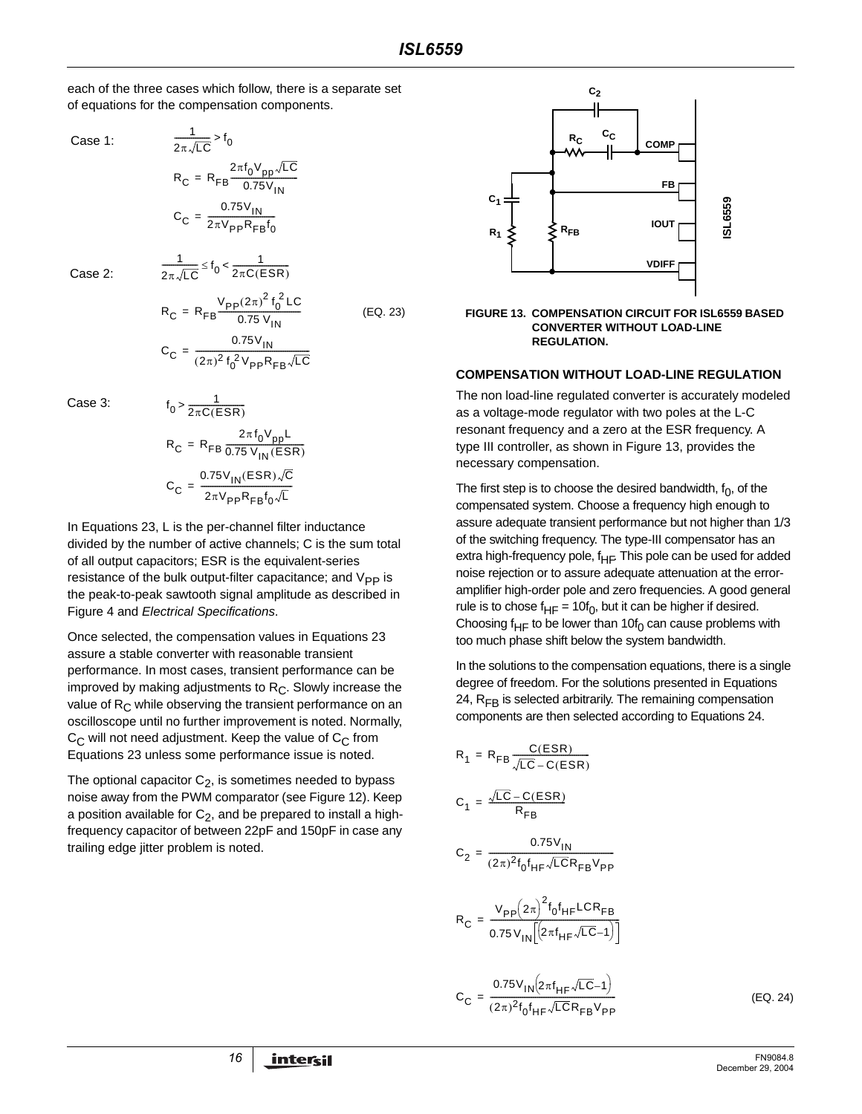each of the three cases which follow, there is a separate set of equations for the compensation components.

Case 1:

$$
\frac{1}{2\pi\sqrt{LC}} > f_0
$$
  
R<sub>C</sub> = R<sub>FB</sub>
$$
\frac{2\pi f_0 V_{pp}\sqrt{LC}}{0.75V_{IN}}
$$
  
C<sub>C</sub> = 
$$
\frac{0.75V_{IN}}{2\pi V_{pp}R_{FB}f_0}
$$

 $\leq f_0 < \frac{1}{2\pi C (ESR)}$ 

 $\frac{1}{2\pi\sqrt{LC}} \leq f_0 < \frac{1}{2\pi C(E)}$ 

1

Case 2:

$$
R_{C} = R_{FB} \frac{V_{pp}(2\pi)^{2} f_{0}^{2} LC}{0.75 V_{IN}}
$$
 (EQ. 23)  

$$
C_{C} = \frac{0.75 V_{IN}}{(2\pi)^{2} f_{0}^{2} V_{pp} R_{FB} \sqrt{LC}}
$$

Case 3:

$$
f_0 > \frac{1}{2\pi C(ESR)}
$$
  
\n
$$
R_C = R_{FB} \frac{2\pi f_0 V_{pp} L}{0.75 V_{IN}(ESR)}
$$
  
\n
$$
C_C = \frac{0.75 V_{IN}(ESR) \sqrt{C}}{2\pi V_{pp} R_{FB} f_0 \sqrt{L}}
$$

In Equations 23, L is the per-channel filter inductance divided by the number of active channels; C is the sum total of all output capacitors; ESR is the equivalent-series resistance of the bulk output-filter capacitance; and  $V_{PP}$  is the peak-to-peak sawtooth signal amplitude as described in Figure 4 and Electrical Specifications.

Once selected, the compensation values in Equations 23 assure a stable converter with reasonable transient performance. In most cases, transient performance can be improved by making adjustments to  $R_C$ . Slowly increase the value of  $R_C$  while observing the transient performance on an oscilloscope until no further improvement is noted. Normally,  $C_{\text{C}}$  will not need adjustment. Keep the value of  $C_{\text{C}}$  from Equations 23 unless some performance issue is noted.

The optional capacitor  $C_2$ , is sometimes needed to bypass noise away from the PWM comparator (see Figure 12). Keep a position available for  $C_2$ , and be prepared to install a highfrequency capacitor of between 22pF and 150pF in case any trailing edge jitter problem is noted.





#### **COMPENSATION WITHOUT LOAD-LINE REGULATION**

The non load-line regulated converter is accurately modeled as a voltage-mode regulator with two poles at the L-C resonant frequency and a zero at the ESR frequency. A type III controller, as shown in Figure 13, provides the necessary compensation.

The first step is to choose the desired bandwidth,  $f_0$ , of the compensated system. Choose a frequency high enough to assure adequate transient performance but not higher than 1/3 of the switching frequency. The type-III compensator has an extra high-frequency pole,  $f_{HF}$ . This pole can be used for added noise rejection or to assure adequate attenuation at the erroramplifier high-order pole and zero frequencies. A good general rule is to chose  $f_{HF} = 10f_0$ , but it can be higher if desired. Choosing f<sub>HF</sub> to be lower than 10f<sub>0</sub> can cause problems with too much phase shift below the system bandwidth.

In the solutions to the compensation equations, there is a single degree of freedom. For the solutions presented in Equations 24,  $R_{FR}$  is selected arbitrarily. The remaining compensation components are then selected according to Equations 24.

$$
R_{1} = R_{FB} \frac{C(ESR)}{\sqrt{LC} - C(ESR)}
$$
\n
$$
C_{1} = \frac{\sqrt{LC} - C(ESR)}{R_{FB}}
$$
\n
$$
C_{2} = \frac{0.75V_{IN}}{(2\pi)^{2}f_{0}f_{HF}\sqrt{LC}R_{FB}V_{PP}}
$$
\n
$$
R_{C} = \frac{V_{PP}(2\pi)^{2}f_{0}f_{HF}LCR_{FB}}{0.75V_{IN}[(2\pi f_{HF}\sqrt{LC}-1)]}
$$
\n
$$
C_{C} = \frac{0.75V_{IN}(2\pi f_{HF}\sqrt{LC}-1)}{(2\pi)^{2}f_{0}f_{HF}\sqrt{LC}R_{FB}V_{PP}}
$$

(EQ. 24)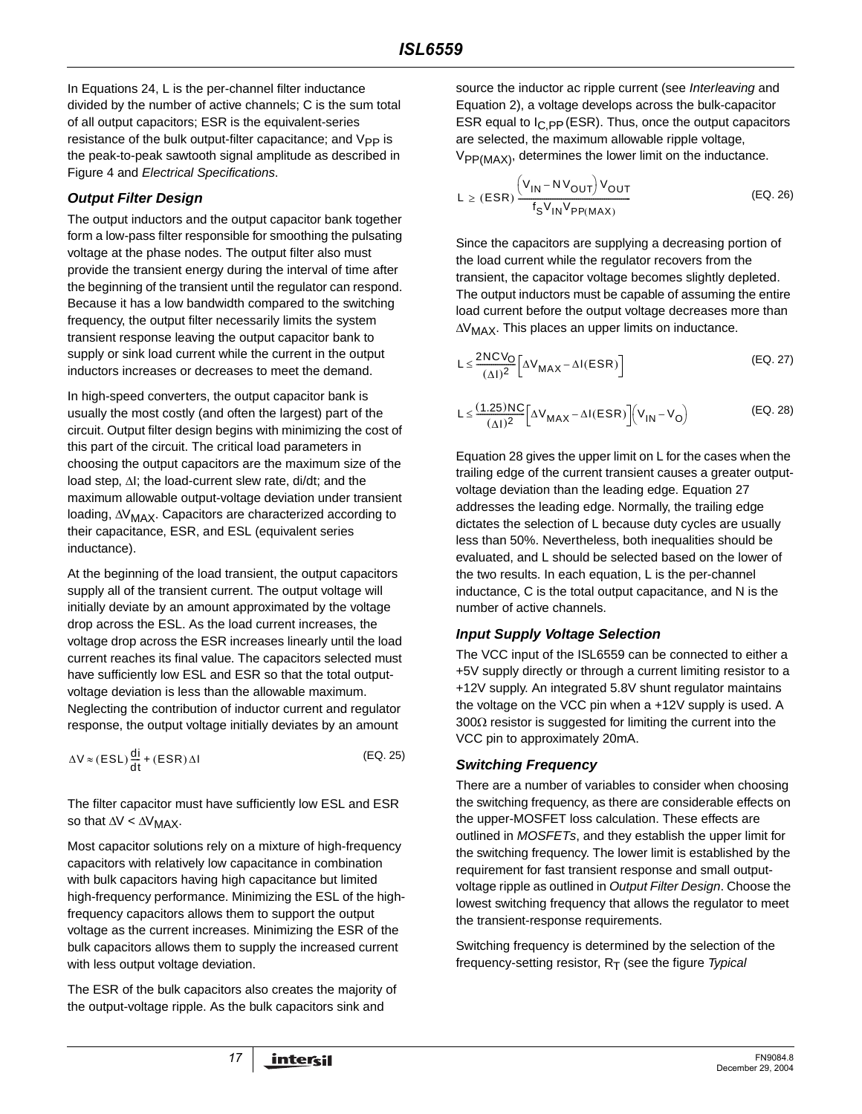In Equations 24, L is the per-channel filter inductance divided by the number of active channels; C is the sum total of all output capacitors; ESR is the equivalent-series resistance of the bulk output-filter capacitance; and V<sub>PP</sub> is the peak-to-peak sawtooth signal amplitude as described in Figure 4 and Electrical Specifications.

# **Output Filter Design**

The output inductors and the output capacitor bank together form a low-pass filter responsible for smoothing the pulsating voltage at the phase nodes. The output filter also must provide the transient energy during the interval of time after the beginning of the transient until the regulator can respond. Because it has a low bandwidth compared to the switching frequency, the output filter necessarily limits the system transient response leaving the output capacitor bank to supply or sink load current while the current in the output inductors increases or decreases to meet the demand.

In high-speed converters, the output capacitor bank is usually the most costly (and often the largest) part of the circuit. Output filter design begins with minimizing the cost of this part of the circuit. The critical load parameters in choosing the output capacitors are the maximum size of the load step, ∆I; the load-current slew rate, di/dt; and the maximum allowable output-voltage deviation under transient loading, ∆V<sub>MAX</sub>. Capacitors are characterized according to their capacitance, ESR, and ESL (equivalent series inductance).

At the beginning of the load transient, the output capacitors supply all of the transient current. The output voltage will initially deviate by an amount approximated by the voltage drop across the ESL. As the load current increases, the voltage drop across the ESR increases linearly until the load current reaches its final value. The capacitors selected must have sufficiently low ESL and ESR so that the total outputvoltage deviation is less than the allowable maximum. Neglecting the contribution of inductor current and regulator response, the output voltage initially deviates by an amount

$$
\Delta V \approx (ESL) \frac{di}{dt} + (ESR) \Delta I
$$
 (EQ. 25)

The filter capacitor must have sufficiently low ESL and ESR so that  $\Delta V < \Delta V_{MAX}$ .

Most capacitor solutions rely on a mixture of high-frequency capacitors with relatively low capacitance in combination with bulk capacitors having high capacitance but limited high-frequency performance. Minimizing the ESL of the highfrequency capacitors allows them to support the output voltage as the current increases. Minimizing the ESR of the bulk capacitors allows them to supply the increased current with less output voltage deviation.

The ESR of the bulk capacitors also creates the majority of the output-voltage ripple. As the bulk capacitors sink and

source the inductor ac ripple current (see Interleaving and Equation 2), a voltage develops across the bulk-capacitor ESR equal to  $I_{C,PP}$  (ESR). Thus, once the output capacitors are selected, the maximum allowable ripple voltage,  $V_{PP(MAX)}$ , determines the lower limit on the inductance.

$$
L \ge (ESR) \frac{\left(V_{IN} - NV_{OUT}\right)V_{OUT}}{f_S V_{IN} V_{PP(MAX)}}
$$
 (EQ. 26)

Since the capacitors are supplying a decreasing portion of the load current while the regulator recovers from the transient, the capacitor voltage becomes slightly depleted. The output inductors must be capable of assuming the entire load current before the output voltage decreases more than  $\Delta V_{\rm MAX}$ . This places an upper limits on inductance.

$$
L \leq \frac{2NCV_O}{(\Delta I)^2} \left[ \Delta V_{MAX} - \Delta I(ESR) \right]
$$
 (EQ. 27)

$$
L \leq \frac{(1.25)NC}{(\Delta I)^2} \Big[ \Delta V_{MAX} - \Delta I(ESR) \Big] \Big( V_{IN} - V_O \Big)
$$
 (EQ. 28)

Equation 28 gives the upper limit on L for the cases when the trailing edge of the current transient causes a greater outputvoltage deviation than the leading edge. Equation 27 addresses the leading edge. Normally, the trailing edge dictates the selection of L because duty cycles are usually less than 50%. Nevertheless, both inequalities should be evaluated, and L should be selected based on the lower of the two results. In each equation, L is the per-channel inductance, C is the total output capacitance, and N is the number of active channels.

# **Input Supply Voltage Selection**

The VCC input of the ISL6559 can be connected to either a +5V supply directly or through a current limiting resistor to a +12V supply. An integrated 5.8V shunt regulator maintains the voltage on the VCC pin when a +12V supply is used. A 300 $\Omega$  resistor is suggested for limiting the current into the VCC pin to approximately 20mA.

# **Switching Frequency**

There are a number of variables to consider when choosing the switching frequency, as there are considerable effects on the upper-MOSFET loss calculation. These effects are outlined in MOSFETs, and they establish the upper limit for the switching frequency. The lower limit is established by the requirement for fast transient response and small outputvoltage ripple as outlined in Output Filter Design. Choose the lowest switching frequency that allows the regulator to meet the transient-response requirements.

Switching frequency is determined by the selection of the frequency-setting resistor,  $R_T$  (see the figure Typical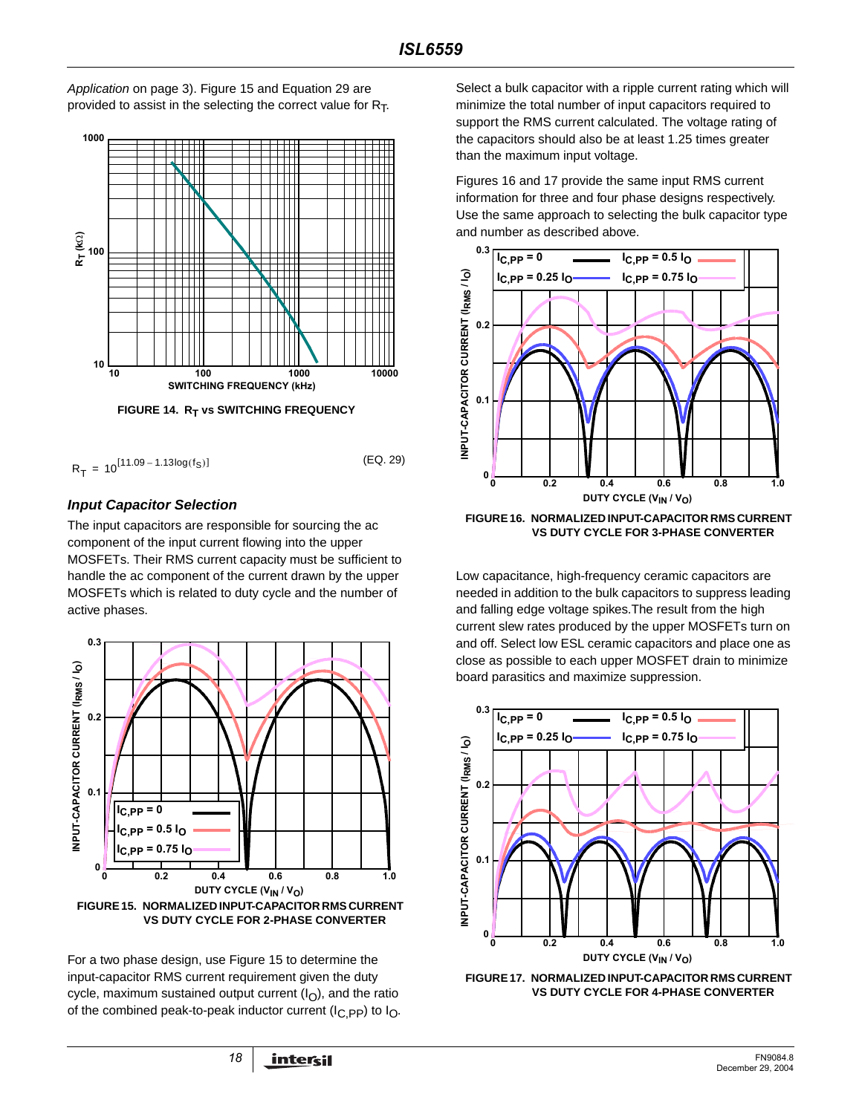Application on page 3). Figure 15 and Equation 29 are provided to assist in the selecting the correct value for  $R<sub>T</sub>$ .



$$
R_T = 10^{[11.09 - 1.13\log(f_S)]}
$$
 (EQ. 29)

# **Input Capacitor Selection**

The input capacitors are responsible for sourcing the ac component of the input current flowing into the upper MOSFETs. Their RMS current capacity must be sufficient to handle the ac component of the current drawn by the upper MOSFETs which is related to duty cycle and the number of active phases.



For a two phase design, use Figure 15 to determine the input-capacitor RMS current requirement given the duty cycle, maximum sustained output current  $(I<sub>O</sub>)$ , and the ratio of the combined peak-to-peak inductor current ( $I_{C,PP}$ ) to  $I_{O}$ . Select a bulk capacitor with a ripple current rating which will minimize the total number of input capacitors required to support the RMS current calculated. The voltage rating of the capacitors should also be at least 1.25 times greater than the maximum input voltage.

Figures 16 and 17 provide the same input RMS current information for three and four phase designs respectively. Use the same approach to selecting the bulk capacitor type and number as described above.



**FIGURE 16. NORMALIZED INPUT-CAPACITOR RMS CURRENT VS DUTY CYCLE FOR 3-PHASE CONVERTER**

Low capacitance, high-frequency ceramic capacitors are needed in addition to the bulk capacitors to suppress leading and falling edge voltage spikes.The result from the high current slew rates produced by the upper MOSFETs turn on and off. Select low ESL ceramic capacitors and place one as close as possible to each upper MOSFET drain to minimize board parasitics and maximize suppression.



**FIGURE 17. NORMALIZED INPUT-CAPACITOR RMS CURRENT VS DUTY CYCLE FOR 4-PHASE CONVERTER**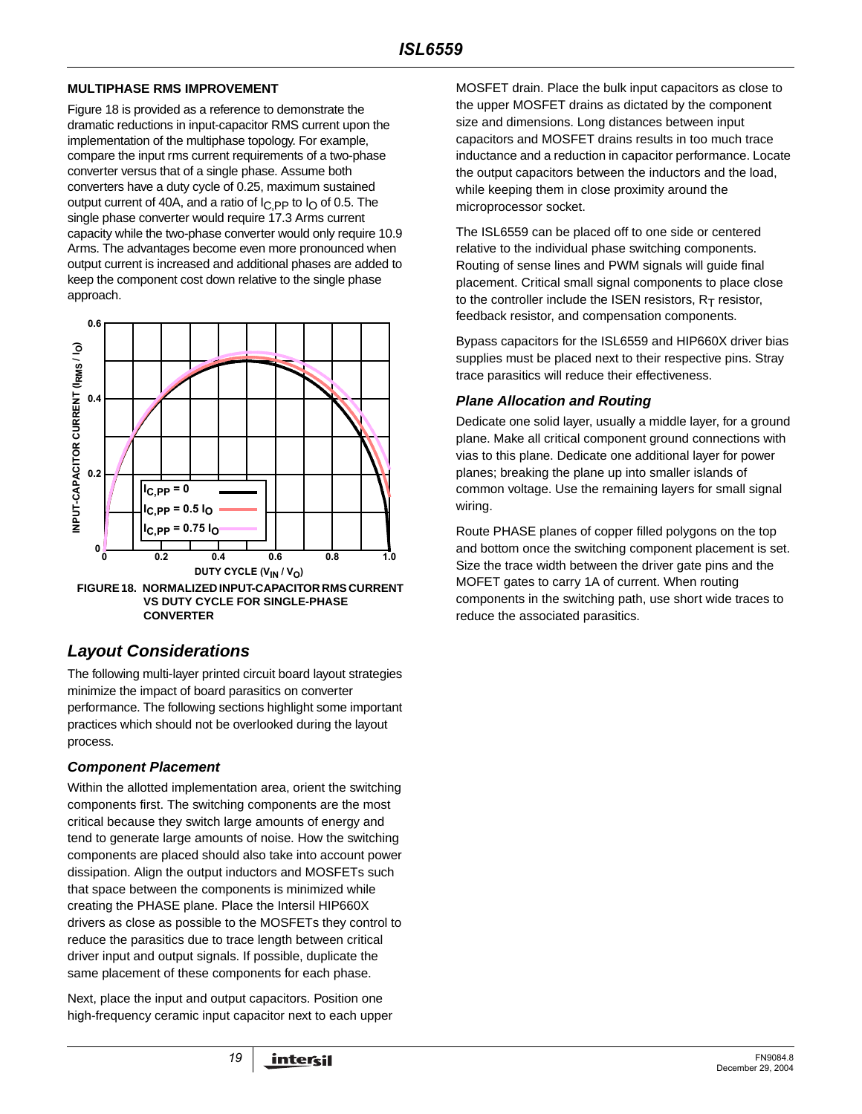# **MULTIPHASE RMS IMPROVEMENT**

Figure 18 is provided as a reference to demonstrate the dramatic reductions in input-capacitor RMS current upon the implementation of the multiphase topology. For example, compare the input rms current requirements of a two-phase converter versus that of a single phase. Assume both converters have a duty cycle of 0.25, maximum sustained output current of 40A, and a ratio of  $I_{\text{C,PP}}$  to  $I_{\text{O}}$  of 0.5. The single phase converter would require 17.3 Arms current capacity while the two-phase converter would only require 10.9 Arms. The advantages become even more pronounced when output current is increased and additional phases are added to keep the component cost down relative to the single phase approach.



# **Layout Considerations**

The following multi-layer printed circuit board layout strategies minimize the impact of board parasitics on converter performance. The following sections highlight some important practices which should not be overlooked during the layout process.

# **Component Placement**

Within the allotted implementation area, orient the switching components first. The switching components are the most critical because they switch large amounts of energy and tend to generate large amounts of noise. How the switching components are placed should also take into account power dissipation. Align the output inductors and MOSFETs such that space between the components is minimized while creating the PHASE plane. Place the Intersil HIP660X drivers as close as possible to the MOSFETs they control to reduce the parasitics due to trace length between critical driver input and output signals. If possible, duplicate the same placement of these components for each phase.

Next, place the input and output capacitors. Position one high-frequency ceramic input capacitor next to each upper MOSFET drain. Place the bulk input capacitors as close to the upper MOSFET drains as dictated by the component size and dimensions. Long distances between input capacitors and MOSFET drains results in too much trace inductance and a reduction in capacitor performance. Locate the output capacitors between the inductors and the load, while keeping them in close proximity around the microprocessor socket.

The ISL6559 can be placed off to one side or centered relative to the individual phase switching components. Routing of sense lines and PWM signals will guide final placement. Critical small signal components to place close to the controller include the ISEN resistors,  $R_T$  resistor, feedback resistor, and compensation components.

Bypass capacitors for the ISL6559 and HIP660X driver bias supplies must be placed next to their respective pins. Stray trace parasitics will reduce their effectiveness.

# **Plane Allocation and Routing**

Dedicate one solid layer, usually a middle layer, for a ground plane. Make all critical component ground connections with vias to this plane. Dedicate one additional layer for power planes; breaking the plane up into smaller islands of common voltage. Use the remaining layers for small signal wiring.

Route PHASE planes of copper filled polygons on the top and bottom once the switching component placement is set. Size the trace width between the driver gate pins and the MOFET gates to carry 1A of current. When routing components in the switching path, use short wide traces to reduce the associated parasitics.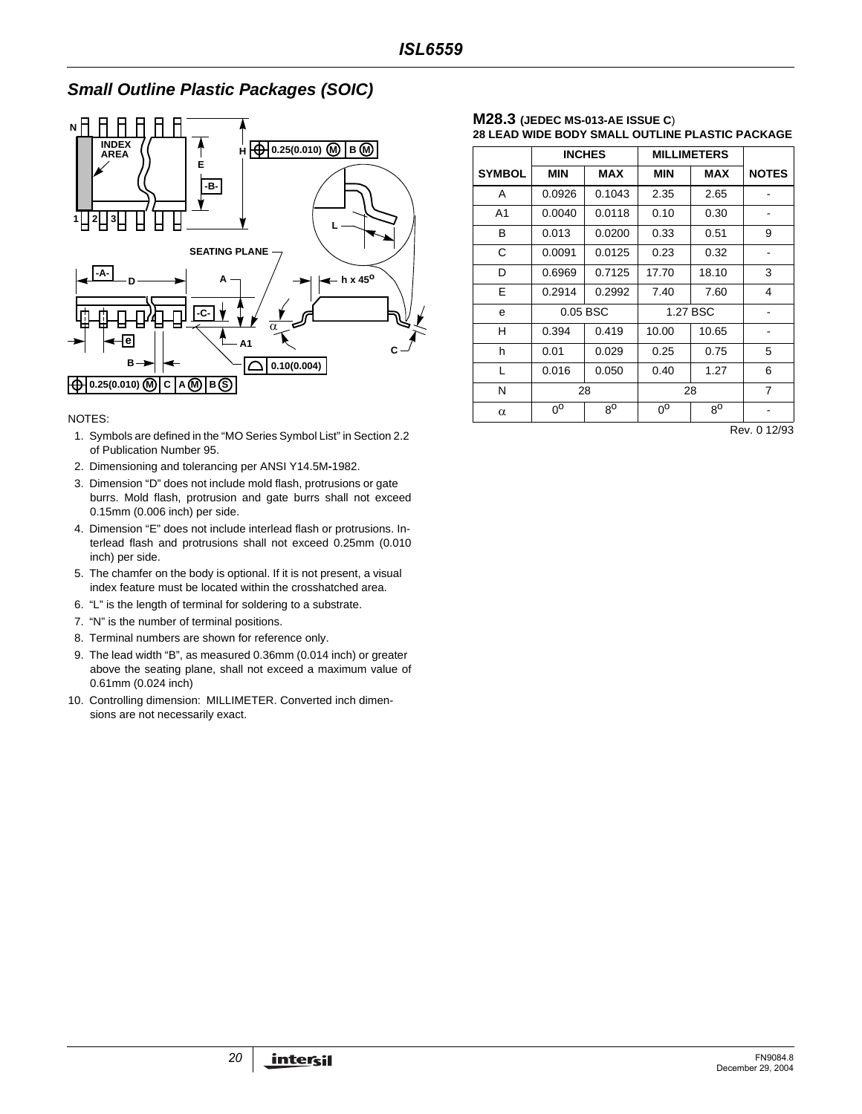# **Small Outline Plastic Packages (SOIC)**



NOTES:

- 1. Symbols are defined in the "MO Series Symbol List" in Section 2.2 of Publication Number 95.
- 2. Dimensioning and tolerancing per ANSI Y14.5M**-**1982.
- 3. Dimension "D" does not include mold flash, protrusions or gate burrs. Mold flash, protrusion and gate burrs shall not exceed 0.15mm (0.006 inch) per side.
- 4. Dimension "E" does not include interlead flash or protrusions. Interlead flash and protrusions shall not exceed 0.25mm (0.010 inch) per side.
- 5. The chamfer on the body is optional. If it is not present, a visual index feature must be located within the crosshatched area.
- 6. "L" is the length of terminal for soldering to a substrate.
- 7. "N" is the number of terminal positions.
- 8. Terminal numbers are shown for reference only.
- 9. The lead width "B", as measured 0.36mm (0.014 inch) or greater above the seating plane, shall not exceed a maximum value of 0.61mm (0.024 inch)
- 10. Controlling dimension: MILLIMETER. Converted inch dimensions are not necessarily exact.

#### **M28.3 (JEDEC MS-013-AE ISSUE C**) **28 LEAD WIDE BODY SMALL OUTLINE PLASTIC PACKAGE**

|                | <b>INCHES</b> |             | <b>MILLIMETERS</b> |             |                |
|----------------|---------------|-------------|--------------------|-------------|----------------|
| <b>SYMBOL</b>  | <b>MIN</b>    | MAX         | <b>MIN</b>         | <b>MAX</b>  | <b>NOTES</b>   |
| A              | 0.0926        | 0.1043      | 2.35               | 2.65        |                |
| A <sub>1</sub> | 0.0040        | 0.0118      | 0.10               | 0.30        |                |
| в              | 0.013         | 0.0200      | 0.33               | 0.51        | 9              |
| C              | 0.0091        | 0.0125      | 0.23               | 0.32        |                |
| D              | 0.6969        | 0.7125      | 17.70              | 18.10       | 3              |
| E              | 0.2914        | 0.2992      | 7.40               | 7.60        | 4              |
| e              | 0.05 BSC      |             | 1.27 BSC           |             |                |
| н              | 0.394         | 0.419       | 10.00              | 10.65       |                |
| h              | 0.01          | 0.029       | 0.25               | 0.75        | 5              |
| L              | 0.016         | 0.050       | 0.40               | 1.27        | 6              |
| N              | 28            |             |                    | 28          | $\overline{7}$ |
| $\alpha$       | $0^{\rm o}$   | $8^{\circ}$ | $0^{\circ}$        | $8^{\circ}$ |                |

Rev. 0 12/93